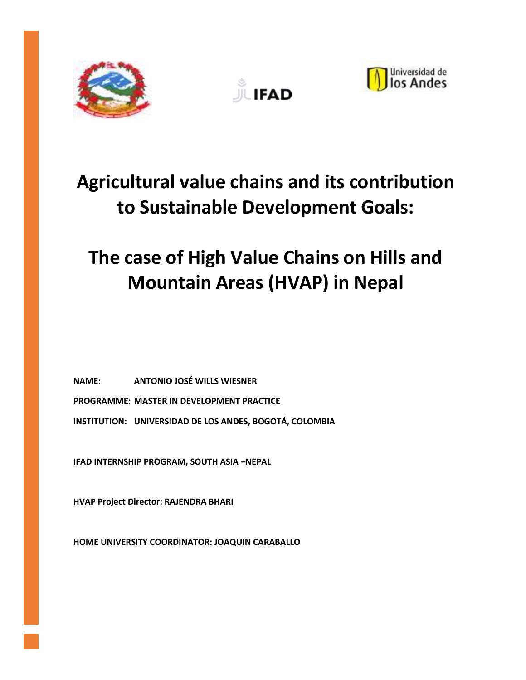





## **Agricultural value chains and its contribution to Sustainable Development Goals:**

# **The case of High Value Chains on Hills and Mountain Areas (HVAP) in Nepal**

**NAME: ANTONIO JOSÉ WILLS WIESNER PROGRAMME: MASTER IN DEVELOPMENT PRACTICE INSTITUTION: UNIVERSIDAD DE LOS ANDES, BOGOTÁ, COLOMBIA**

**IFAD INTERNSHIP PROGRAM, SOUTH ASIA –NEPAL**

**HVAP Project Director: RAJENDRA BHARI**

**HOME UNIVERSITY COORDINATOR: JOAQUIN CARABALLO**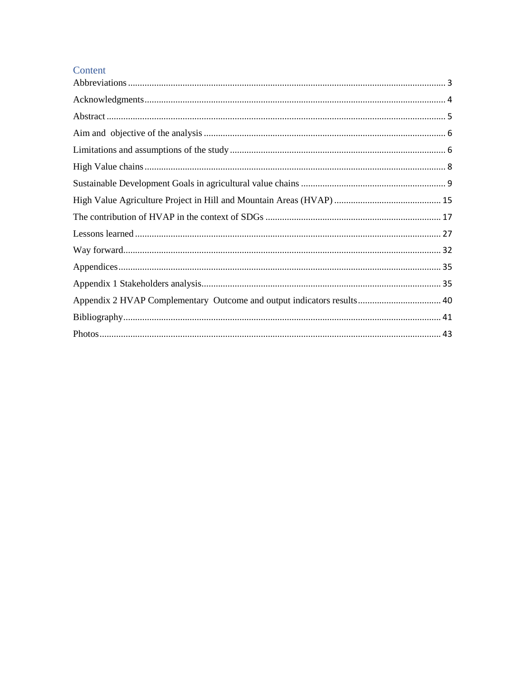#### Content

| Appendix 2 HVAP Complementary Outcome and output indicators results 40 |  |
|------------------------------------------------------------------------|--|
|                                                                        |  |
|                                                                        |  |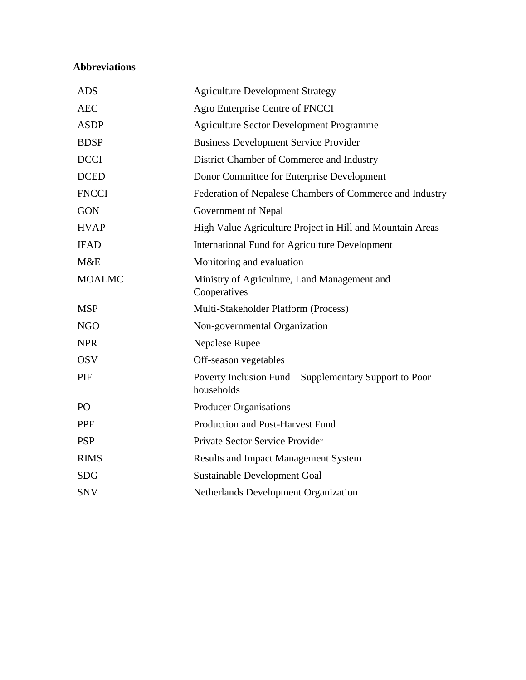#### <span id="page-2-0"></span>**Abbreviations**

| <b>ADS</b>      | <b>Agriculture Development Strategy</b>                              |
|-----------------|----------------------------------------------------------------------|
| <b>AEC</b>      | Agro Enterprise Centre of FNCCI                                      |
| <b>ASDP</b>     | <b>Agriculture Sector Development Programme</b>                      |
| <b>BDSP</b>     | <b>Business Development Service Provider</b>                         |
| <b>DCCI</b>     | District Chamber of Commerce and Industry                            |
| <b>DCED</b>     | Donor Committee for Enterprise Development                           |
| <b>FNCCI</b>    | Federation of Nepalese Chambers of Commerce and Industry             |
| <b>GON</b>      | Government of Nepal                                                  |
| <b>HVAP</b>     | High Value Agriculture Project in Hill and Mountain Areas            |
| <b>IFAD</b>     | <b>International Fund for Agriculture Development</b>                |
| M&E             | Monitoring and evaluation                                            |
| <b>MOALMC</b>   | Ministry of Agriculture, Land Management and<br>Cooperatives         |
| <b>MSP</b>      | Multi-Stakeholder Platform (Process)                                 |
| <b>NGO</b>      | Non-governmental Organization                                        |
| <b>NPR</b>      | <b>Nepalese Rupee</b>                                                |
| <b>OSV</b>      | Off-season vegetables                                                |
| PIF             | Poverty Inclusion Fund – Supplementary Support to Poor<br>households |
| PO <sub>1</sub> | <b>Producer Organisations</b>                                        |
| <b>PPF</b>      | Production and Post-Harvest Fund                                     |
| <b>PSP</b>      | Private Sector Service Provider                                      |
| <b>RIMS</b>     | <b>Results and Impact Management System</b>                          |
| <b>SDG</b>      | Sustainable Development Goal                                         |
| <b>SNV</b>      | Netherlands Development Organization                                 |
|                 |                                                                      |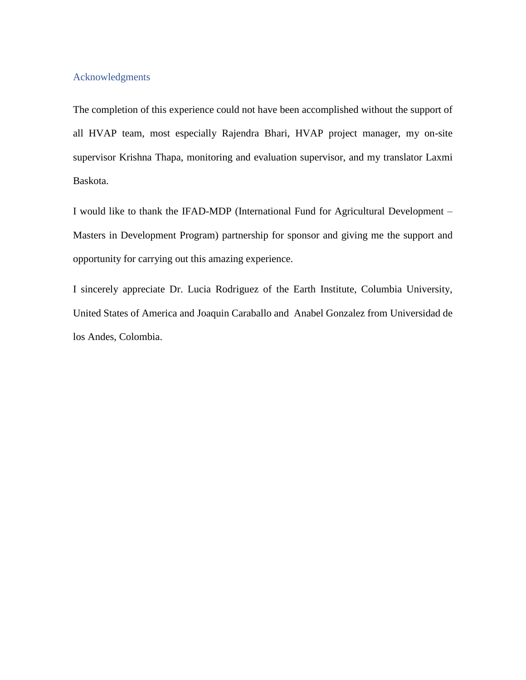#### <span id="page-3-0"></span>Acknowledgments

The completion of this experience could not have been accomplished without the support of all HVAP team, most especially Rajendra Bhari, HVAP project manager, my on-site supervisor Krishna Thapa, monitoring and evaluation supervisor, and my translator Laxmi Baskota.

I would like to thank the IFAD-MDP (International Fund for Agricultural Development – Masters in Development Program) partnership for sponsor and giving me the support and opportunity for carrying out this amazing experience.

I sincerely appreciate Dr. Lucia Rodriguez of the Earth Institute, Columbia University, United States of America and Joaquin Caraballo and Anabel Gonzalez from Universidad de los Andes, Colombia.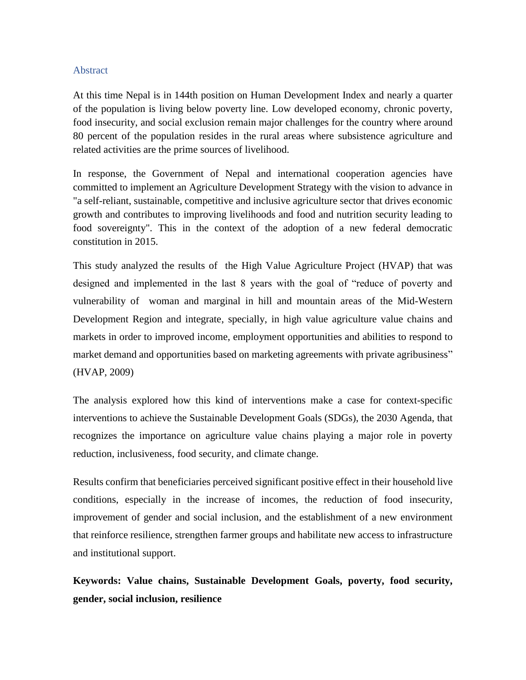#### <span id="page-4-0"></span>Abstract

At this time Nepal is in 144th position on Human Development Index and nearly a quarter of the population is living below poverty line. Low developed economy, chronic poverty, food insecurity, and social exclusion remain major challenges for the country where around 80 percent of the population resides in the rural areas where subsistence agriculture and related activities are the prime sources of livelihood.

In response, the Government of Nepal and international cooperation agencies have committed to implement an Agriculture Development Strategy with the vision to advance in "a self-reliant, sustainable, competitive and inclusive agriculture sector that drives economic growth and contributes to improving livelihoods and food and nutrition security leading to food sovereignty". This in the context of the adoption of a new federal democratic constitution in 2015.

This study analyzed the results of the High Value Agriculture Project (HVAP) that was designed and implemented in the last 8 years with the goal of "reduce of poverty and vulnerability of woman and marginal in hill and mountain areas of the Mid-Western Development Region and integrate, specially, in high value agriculture value chains and markets in order to improved income, employment opportunities and abilities to respond to market demand and opportunities based on marketing agreements with private agribusiness" (HVAP, 2009)

The analysis explored how this kind of interventions make a case for context-specific interventions to achieve the Sustainable Development Goals (SDGs), the 2030 Agenda, that recognizes the importance on agriculture value chains playing a major role in poverty reduction, inclusiveness, food security, and climate change.

Results confirm that beneficiaries perceived significant positive effect in their household live conditions, especially in the increase of incomes, the reduction of food insecurity, improvement of gender and social inclusion, and the establishment of a new environment that reinforce resilience, strengthen farmer groups and habilitate new access to infrastructure and institutional support.

**Keywords: Value chains, Sustainable Development Goals, poverty, food security, gender, social inclusion, resilience**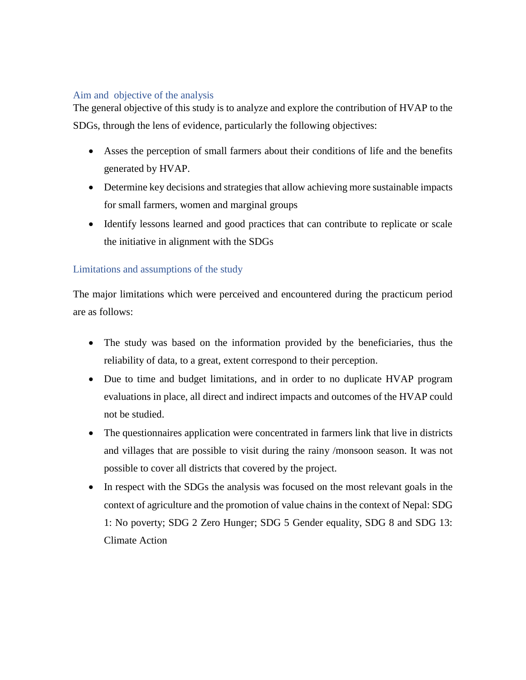#### <span id="page-5-0"></span>Aim and objective of the analysis

The general objective of this study is to analyze and explore the contribution of HVAP to the SDGs, through the lens of evidence, particularly the following objectives:

- Asses the perception of small farmers about their conditions of life and the benefits generated by HVAP.
- Determine key decisions and strategies that allow achieving more sustainable impacts for small farmers, women and marginal groups
- Identify lessons learned and good practices that can contribute to replicate or scale the initiative in alignment with the SDGs

#### <span id="page-5-1"></span>Limitations and assumptions of the study

The major limitations which were perceived and encountered during the practicum period are as follows:

- The study was based on the information provided by the beneficiaries, thus the reliability of data, to a great, extent correspond to their perception.
- Due to time and budget limitations, and in order to no duplicate HVAP program evaluations in place, all direct and indirect impacts and outcomes of the HVAP could not be studied.
- The questionnaires application were concentrated in farmers link that live in districts and villages that are possible to visit during the rainy /monsoon season. It was not possible to cover all districts that covered by the project.
- In respect with the SDGs the analysis was focused on the most relevant goals in the context of agriculture and the promotion of value chains in the context of Nepal: SDG 1: No poverty; SDG 2 Zero Hunger; SDG 5 Gender equality, SDG 8 and SDG 13: Climate Action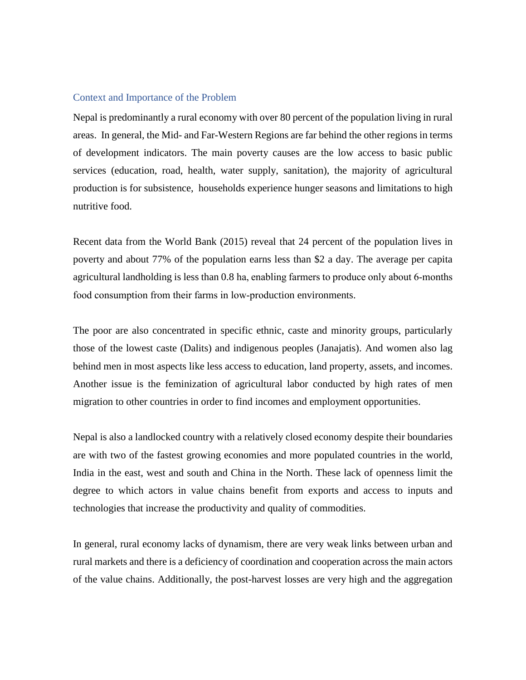#### Context and Importance of the Problem

Nepal is predominantly a rural economy with over 80 percent of the population living in rural areas. In general, the Mid- and Far-Western Regions are far behind the other regions in terms of development indicators. The main poverty causes are the low access to basic public services (education, road, health, water supply, sanitation), the majority of agricultural production is for subsistence, households experience hunger seasons and limitations to high nutritive food.

Recent data from the World Bank (2015) reveal that 24 percent of the population lives in poverty and about 77% of the population earns less than \$2 a day. The average per capita agricultural landholding is less than 0.8 ha, enabling farmers to produce only about 6‐months food consumption from their farms in low-production environments.

The poor are also concentrated in specific ethnic, caste and minority groups, particularly those of the lowest caste (Dalits) and indigenous peoples (Janajatis). And women also lag behind men in most aspects like less access to education, land property, assets, and incomes. Another issue is the feminization of agricultural labor conducted by high rates of men migration to other countries in order to find incomes and employment opportunities.

Nepal is also a landlocked country with a relatively closed economy despite their boundaries are with two of the fastest growing economies and more populated countries in the world, India in the east, west and south and China in the North. These lack of openness limit the degree to which actors in value chains benefit from exports and access to inputs and technologies that increase the productivity and quality of commodities.

In general, rural economy lacks of dynamism, there are very weak links between urban and rural markets and there is a deficiency of coordination and cooperation across the main actors of the value chains. Additionally, the post-harvest losses are very high and the aggregation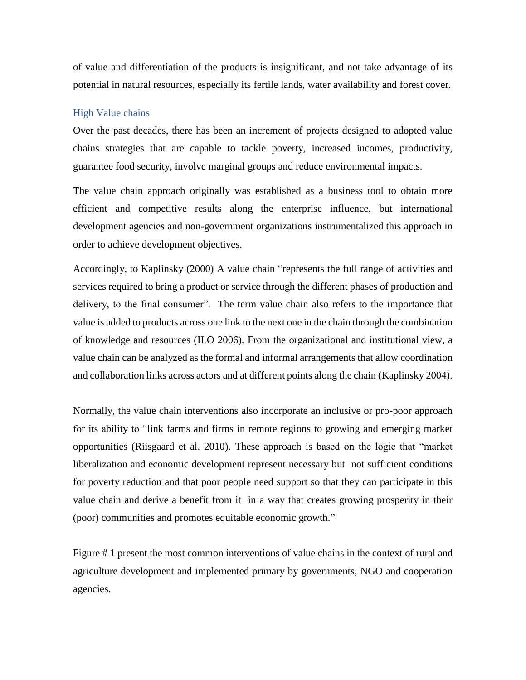of value and differentiation of the products is insignificant, and not take advantage of its potential in natural resources, especially its fertile lands, water availability and forest cover.

#### <span id="page-7-0"></span>High Value chains

Over the past decades, there has been an increment of projects designed to adopted value chains strategies that are capable to tackle poverty, increased incomes, productivity, guarantee food security, involve marginal groups and reduce environmental impacts.

The value chain approach originally was established as a business tool to obtain more efficient and competitive results along the enterprise influence, but international development agencies and non-government organizations instrumentalized this approach in order to achieve development objectives.

Accordingly, to Kaplinsky (2000) A value chain "represents the full range of activities and services required to bring a product or service through the different phases of production and delivery, to the final consumer". The term value chain also refers to the importance that value is added to products across one link to the next one in the chain through the combination of knowledge and resources (ILO 2006). From the organizational and institutional view, a value chain can be analyzed as the formal and informal arrangements that allow coordination and collaboration links across actors and at different points along the chain (Kaplinsky 2004).

Normally, the value chain interventions also incorporate an inclusive or pro-poor approach for its ability to "link farms and firms in remote regions to growing and emerging market opportunities (Riisgaard et al. 2010). These approach is based on the logic that "market liberalization and economic development represent necessary but not sufficient conditions for poverty reduction and that poor people need support so that they can participate in this value chain and derive a benefit from it in a way that creates growing prosperity in their (poor) communities and promotes equitable economic growth."

Figure # 1 present the most common interventions of value chains in the context of rural and agriculture development and implemented primary by governments, NGO and cooperation agencies.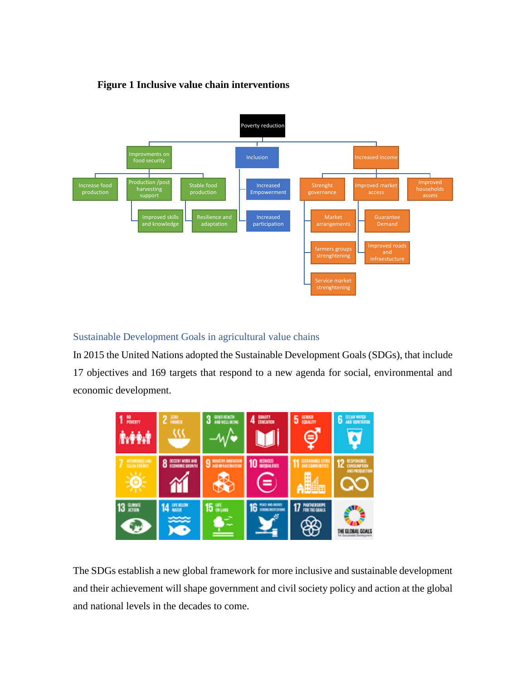



<span id="page-8-0"></span>Sustainable Development Goals in agricultural value chains

In 2015 the United Nations adopted the Sustainable Development Goals (SDGs), that include 17 objectives and 169 targets that respond to a new agenda for social, environmental and economic development.



The SDGs establish a new global framework for more inclusive and sustainable development and their achievement will shape government and civil society policy and action at the global and national levels in the decades to come.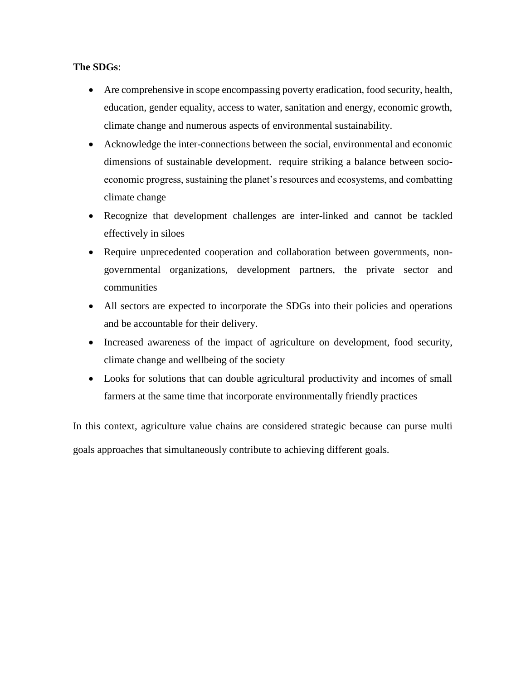#### **The SDGs**:

- Are comprehensive in scope encompassing poverty eradication, food security, health, education, gender equality, access to water, sanitation and energy, economic growth, climate change and numerous aspects of environmental sustainability.
- Acknowledge the inter-connections between the social, environmental and economic dimensions of sustainable development. require striking a balance between socioeconomic progress, sustaining the planet's resources and ecosystems, and combatting climate change
- Recognize that development challenges are inter-linked and cannot be tackled effectively in siloes
- Require unprecedented cooperation and collaboration between governments, nongovernmental organizations, development partners, the private sector and communities
- All sectors are expected to incorporate the SDGs into their policies and operations and be accountable for their delivery.
- Increased awareness of the impact of agriculture on development, food security, climate change and wellbeing of the society
- Looks for solutions that can double agricultural productivity and incomes of small farmers at the same time that incorporate environmentally friendly practices

In this context, agriculture value chains are considered strategic because can purse multi goals approaches that simultaneously contribute to achieving different goals.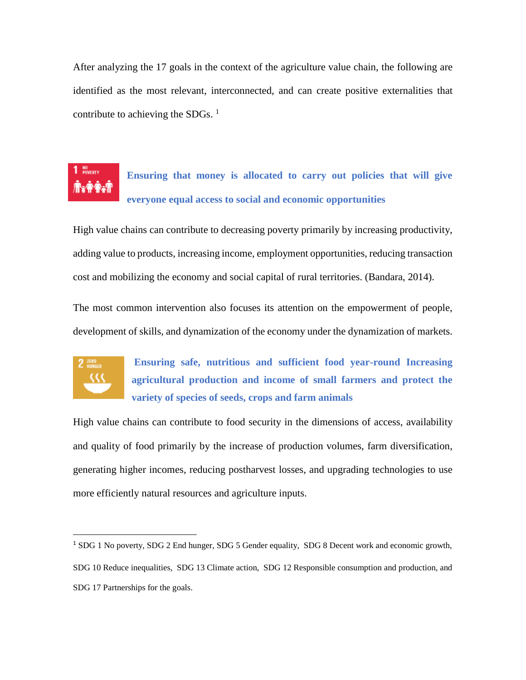After analyzing the 17 goals in the context of the agriculture value chain, the following are identified as the most relevant, interconnected, and can create positive externalities that contribute to achieving the SDGs.  $<sup>1</sup>$ </sup>

# NO<br>POWERTY

**Ensuring that money is allocated to carry out policies that will give everyone equal access to social and economic opportunities**

High value chains can contribute to decreasing poverty primarily by increasing productivity, adding value to products, increasing income, employment opportunities, reducing transaction cost and mobilizing the economy and social capital of rural territories. (Bandara, 2014).

The most common intervention also focuses its attention on the empowerment of people, development of skills, and dynamization of the economy under the dynamization of markets.



 $\overline{a}$ 

**Ensuring safe, nutritious and sufficient food year-round Increasing agricultural production and income of small farmers and protect the variety of species of seeds, crops and farm animals**

High value chains can contribute to food security in the dimensions of access, availability and quality of food primarily by the increase of production volumes, farm diversification, generating higher incomes, reducing postharvest losses, and upgrading technologies to use more efficiently natural resources and agriculture inputs.

<sup>&</sup>lt;sup>1</sup> SDG 1 No poverty, SDG 2 End hunger, SDG 5 Gender equality, SDG 8 Decent work and economic growth, SDG 10 Reduce inequalities, SDG 13 Climate action, SDG 12 Responsible consumption and production, and SDG 17 Partnerships for the goals.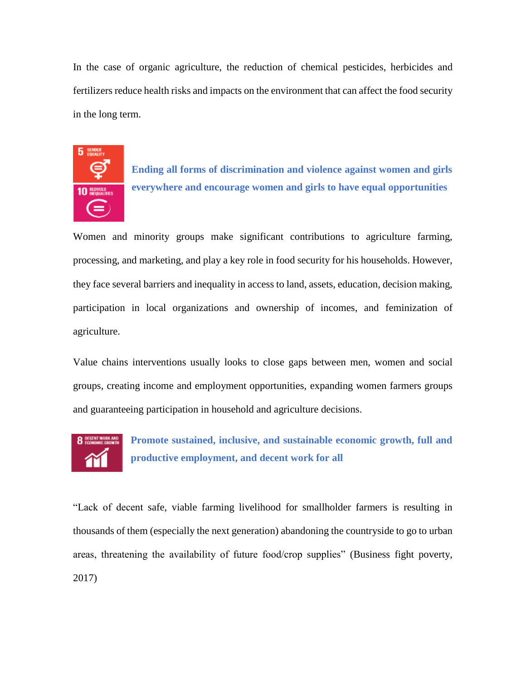In the case of organic agriculture, the reduction of chemical pesticides, herbicides and fertilizers reduce health risks and impacts on the environment that can affect the food security in the long term.



**Ending all forms of discrimination and violence against women and girls everywhere and encourage women and girls to have equal opportunities**

Women and minority groups make significant contributions to agriculture farming, processing, and marketing, and play a key role in food security for his households. However, they face several barriers and inequality in access to land, assets, education, decision making, participation in local organizations and ownership of incomes, and feminization of agriculture.

Value chains interventions usually looks to close gaps between men, women and social groups, creating income and employment opportunities, expanding women farmers groups and guaranteeing participation in household and agriculture decisions.



**Promote sustained, inclusive, and sustainable economic growth, full and productive employment, and decent work for all**

"Lack of decent safe, viable farming livelihood for smallholder farmers is resulting in thousands of them (especially the next generation) abandoning the countryside to go to urban areas, threatening the availability of future food/crop supplies" (Business fight poverty, 2017)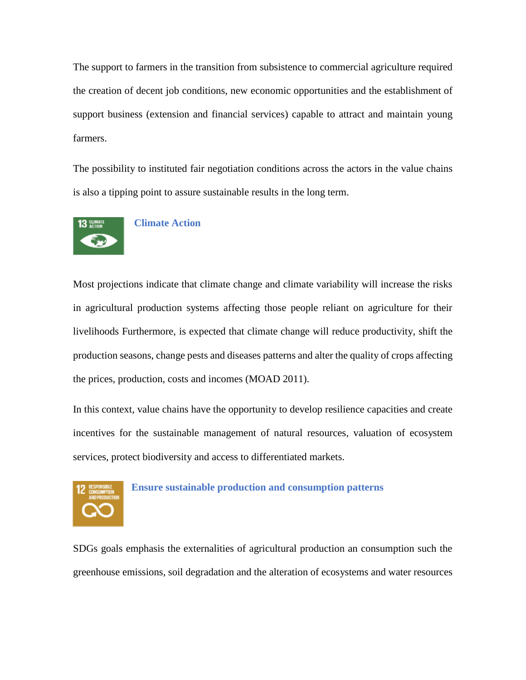The support to farmers in the transition from subsistence to commercial agriculture required the creation of decent job conditions, new economic opportunities and the establishment of support business (extension and financial services) capable to attract and maintain young farmers.

The possibility to instituted fair negotiation conditions across the actors in the value chains is also a tipping point to assure sustainable results in the long term.



#### **Climate Action**

Most projections indicate that climate change and climate variability will increase the risks in agricultural production systems affecting those people reliant on agriculture for their livelihoods Furthermore, is expected that climate change will reduce productivity, shift the production seasons, change pests and diseases patterns and alter the quality of crops affecting the prices, production, costs and incomes (MOAD 2011).

In this context, value chains have the opportunity to develop resilience capacities and create incentives for the sustainable management of natural resources, valuation of ecosystem services, protect biodiversity and access to differentiated markets.



#### **Ensure sustainable production and consumption patterns**

SDGs goals emphasis the externalities of agricultural production an consumption such the greenhouse emissions, soil degradation and the alteration of ecosystems and water resources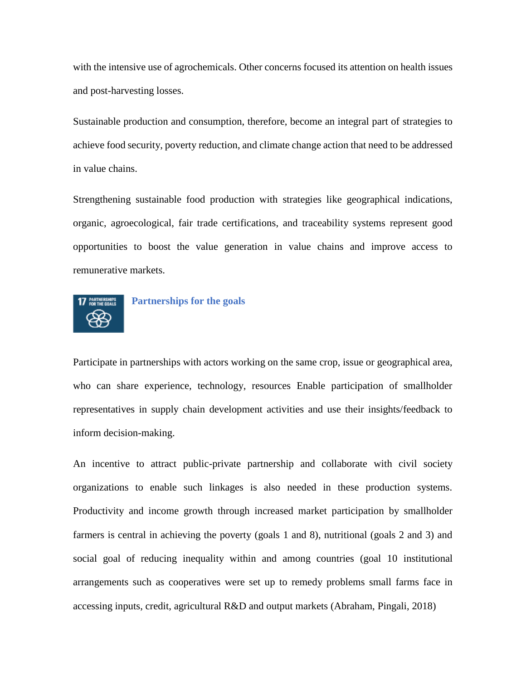with the intensive use of agrochemicals. Other concerns focused its attention on health issues and post-harvesting losses.

Sustainable production and consumption, therefore, become an integral part of strategies to achieve food security, poverty reduction, and climate change action that need to be addressed in value chains.

Strengthening sustainable food production with strategies like geographical indications, organic, agroecological, fair trade certifications, and traceability systems represent good opportunities to boost the value generation in value chains and improve access to remunerative markets.



#### **Partnerships for the goals**

Participate in partnerships with actors working on the same crop, issue or geographical area, who can share experience, technology, resources Enable participation of smallholder representatives in supply chain development activities and use their insights/feedback to inform decision-making.

An incentive to attract public-private partnership and collaborate with civil society organizations to enable such linkages is also needed in these production systems. Productivity and income growth through increased market participation by smallholder farmers is central in achieving the poverty (goals 1 and 8), nutritional (goals 2 and 3) and social goal of reducing inequality within and among countries (goal 10 institutional arrangements such as cooperatives were set up to remedy problems small farms face in accessing inputs, credit, agricultural R&D and output markets (Abraham, Pingali, 2018)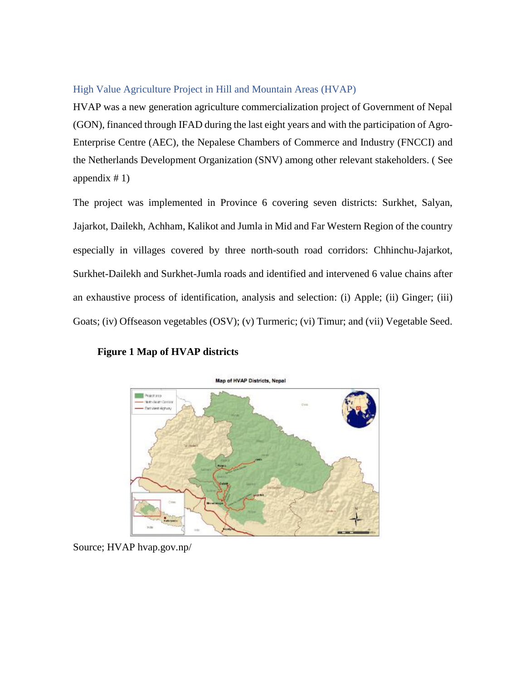#### <span id="page-14-0"></span>High Value Agriculture Project in Hill and Mountain Areas (HVAP)

HVAP was a new generation agriculture commercialization project of Government of Nepal (GON), financed through IFAD during the last eight years and with the participation of Agro-Enterprise Centre (AEC), the Nepalese Chambers of Commerce and Industry (FNCCI) and the Netherlands Development Organization (SNV) among other relevant stakeholders. ( See appendix  $# 1$ )

The project was implemented in Province 6 covering seven districts: Surkhet, Salyan, Jajarkot, Dailekh, Achham, Kalikot and Jumla in Mid and Far Western Region of the country especially in villages covered by three north-south road corridors: Chhinchu-Jajarkot, Surkhet-Dailekh and Surkhet-Jumla roads and identified and intervened 6 value chains after an exhaustive process of identification, analysis and selection: (i) Apple; (ii) Ginger; (iii) Goats; (iv) Offseason vegetables (OSV); (v) Turmeric; (vi) Timur; and (vii) Vegetable Seed.

**Figure 1 Map of HVAP districts**



Source; HVAP hvap.gov.np/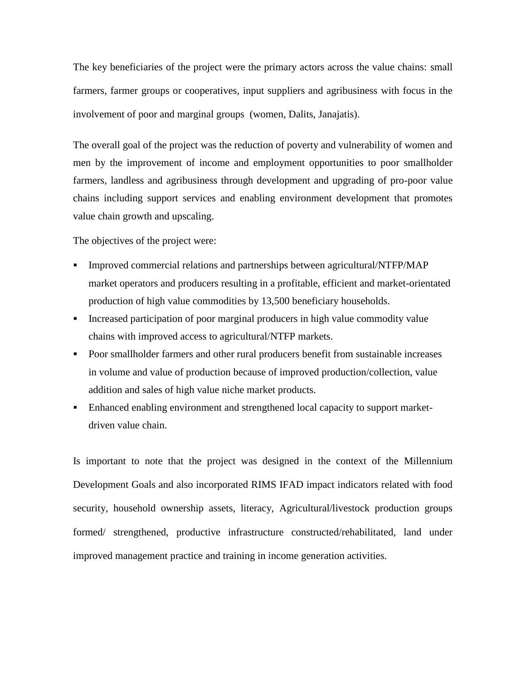The key beneficiaries of the project were the primary actors across the value chains: small farmers, farmer groups or cooperatives, input suppliers and agribusiness with focus in the involvement of poor and marginal groups (women, Dalits, Janajatis).

The overall goal of the project was the reduction of poverty and vulnerability of women and men by the improvement of income and employment opportunities to poor smallholder farmers, landless and agribusiness through development and upgrading of pro-poor value chains including support services and enabling environment development that promotes value chain growth and upscaling.

The objectives of the project were:

- Improved commercial relations and partnerships between agricultural/NTFP/MAP market operators and producers resulting in a profitable, efficient and market-orientated production of high value commodities by 13,500 beneficiary households.
- Increased participation of poor marginal producers in high value commodity value chains with improved access to agricultural/NTFP markets.
- **•** Poor smallholder farmers and other rural producers benefit from sustainable increases in volume and value of production because of improved production/collection, value addition and sales of high value niche market products.
- Enhanced enabling environment and strengthened local capacity to support marketdriven value chain.

Is important to note that the project was designed in the context of the Millennium Development Goals and also incorporated RIMS IFAD impact indicators related with food security, household ownership assets, literacy, Agricultural/livestock production groups formed/ strengthened, productive infrastructure constructed/rehabilitated, land under improved management practice and training in income generation activities.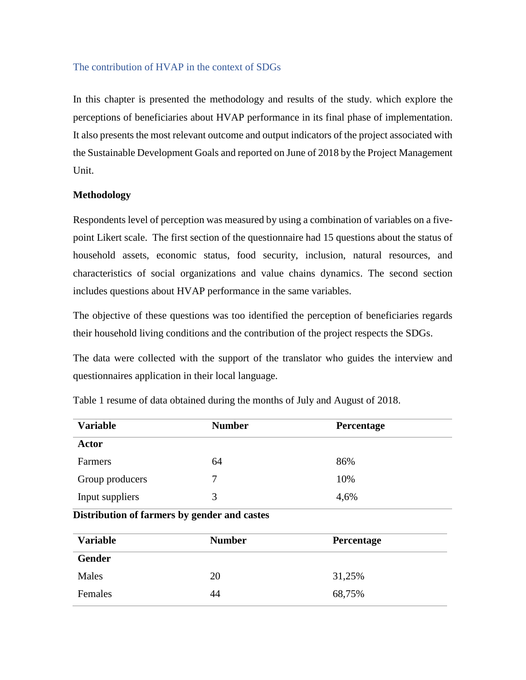#### <span id="page-16-0"></span>The contribution of HVAP in the context of SDGs

In this chapter is presented the methodology and results of the study. which explore the perceptions of beneficiaries about HVAP performance in its final phase of implementation. It also presents the most relevant outcome and output indicators of the project associated with the Sustainable Development Goals and reported on June of 2018 by the Project Management Unit.

#### **Methodology**

Respondents level of perception was measured by using a combination of variables on a fivepoint Likert scale. The first section of the questionnaire had 15 questions about the status of household assets, economic status, food security, inclusion, natural resources, and characteristics of social organizations and value chains dynamics. The second section includes questions about HVAP performance in the same variables.

The objective of these questions was too identified the perception of beneficiaries regards their household living conditions and the contribution of the project respects the SDGs.

The data were collected with the support of the translator who guides the interview and questionnaires application in their local language.

| <b>Variable</b> | <b>Number</b> | Percentage |  |
|-----------------|---------------|------------|--|
| <b>Actor</b>    |               |            |  |
| Farmers         | 64            | 86%        |  |
| Group producers | 7             | 10%        |  |
| Input suppliers | 3             | 4,6%       |  |

Table 1 resume of data obtained during the months of July and August of 2018.

#### **Distribution of farmers by gender and castes**

| <b>Variable</b> | <b>Number</b> | Percentage |  |
|-----------------|---------------|------------|--|
| Gender          |               |            |  |
| Males           | 20            | 31,25%     |  |
| Females         | 44            | 68,75%     |  |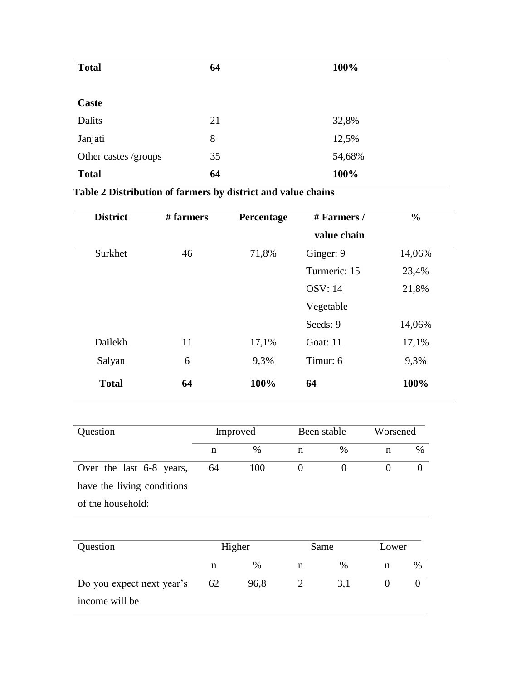| <b>Total</b>         | 64 | 100%   |
|----------------------|----|--------|
|                      |    |        |
| Caste                |    |        |
| Dalits               | 21 | 32,8%  |
| Janjati              | 8  | 12,5%  |
| Other castes /groups | 35 | 54,68% |
| <b>Total</b>         | 64 | 100%   |

## **Table 2 Distribution of farmers by district and value chains**

| <b>District</b> | # farmers | Percentage | # Farmers /    | $\frac{0}{0}$ |
|-----------------|-----------|------------|----------------|---------------|
|                 |           |            | value chain    |               |
| Surkhet         | 46        | 71,8%      | Ginger: 9      | 14,06%        |
|                 |           |            | Turmeric: 15   | 23,4%         |
|                 |           |            | <b>OSV: 14</b> | 21,8%         |
|                 |           |            | Vegetable      |               |
|                 |           |            | Seeds: 9       | 14,06%        |
| Dailekh         | 11        | 17,1%      | Goat: 11       | 17,1%         |
| Salyan          | 6         | 9,3%       | Timur: 6       | 9,3%          |
| <b>Total</b>    | 64        | 100%       | 64             | 100%          |

| Question                   |    | Improved |   | Been stable   |   | Worsened |  |  |
|----------------------------|----|----------|---|---------------|---|----------|--|--|
|                            | n  | $\%$     | n | $\frac{0}{0}$ | n | $\%$     |  |  |
| Over the last 6-8 years,   | 64 | 100      |   |               |   |          |  |  |
| have the living conditions |    |          |   |               |   |          |  |  |
| of the household:          |    |          |   |               |   |          |  |  |

| Question                  | Higher |               |   | Same | Lower |      |  |
|---------------------------|--------|---------------|---|------|-------|------|--|
|                           |        | $\frac{0}{0}$ | n | $\%$ |       | $\%$ |  |
| Do you expect next year's | 62     | 96,8          |   | 3. l |       |      |  |
| income will be            |        |               |   |      |       |      |  |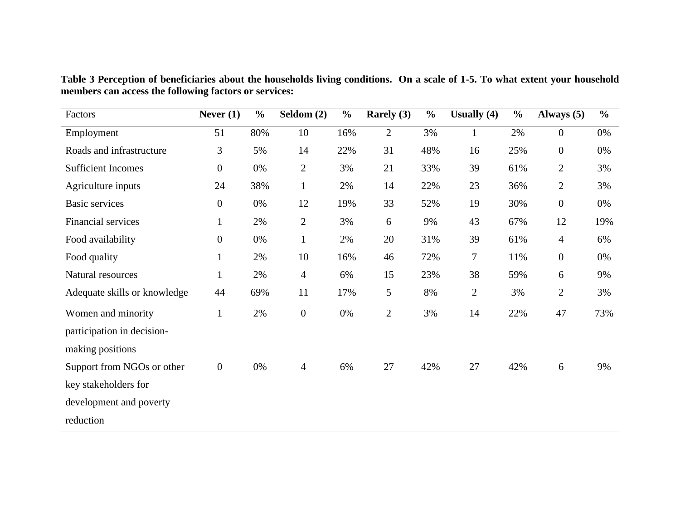Factors **Never (1) % Seldom (2) % Rarely (3) % Usually (4) % Always (5) %** Employment 51 80% 10 16% 2 3% 1 2% 0 0% Roads and infrastructure 3 5% 14 22% 31 48% 16 25% 0 0% Sufficient Incomes 0 0% 2 3% 21 33% 39 61% 2 3% Agriculture inputs 24 38% 1 2% 14 22% 23 36% 2 3% Basic services 0 0% 12 19% 33 52% 19 30% 0 0% Financial services 1 2% 2 3% 6 9% 43 67% 12 19% Food availability 0 0% 1 2% 20 31% 39 61% 4 6% Food quality 1 2% 10 16% 46 72% 7 11% 0 0% Natural resources 1 2% 4 6% 15 23% 38 59% 6 9% Adequate skills or knowledge 44 69% 11 17% 5 8% 2 3% 2 3% Women and minority participation in decisionmaking positions 1 2% 0 0% 2 3% 14 22% 47 73% Support from NGOs or other key stakeholders for development and poverty reduction 0 0% 4 6% 27 42% 27 42% 6 9%

**Table 3 Perception of beneficiaries about the households living conditions. On a scale of 1-5. To what extent your household members can access the following factors or services:**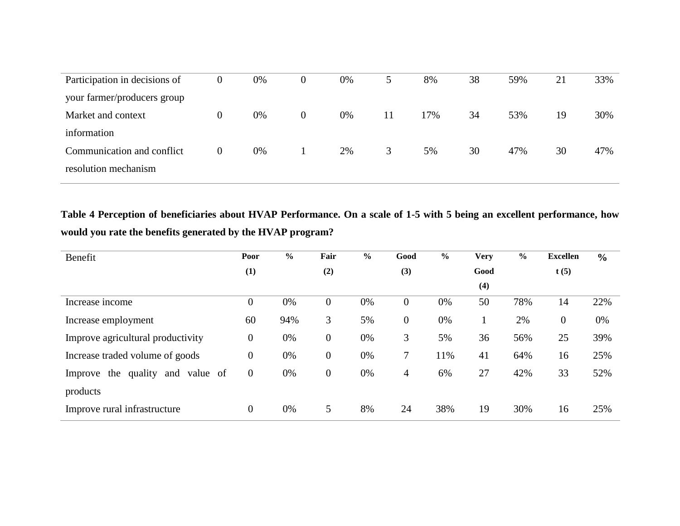| Participation in decisions of | 0        | 0% | 0              | 0% | 5. | 8%  | 38 | 59% | 21 | 33% |
|-------------------------------|----------|----|----------------|----|----|-----|----|-----|----|-----|
| your farmer/producers group   |          |    |                |    |    |     |    |     |    |     |
| Market and context            | $\theta$ | 0% | $\overline{0}$ | 0% | 11 | 17% | 34 | 53% | 19 | 30% |
| information                   |          |    |                |    |    |     |    |     |    |     |
| Communication and conflict    | 0        | 0% |                | 2% | 3  | 5%  | 30 | 47% | 30 | 47% |
| resolution mechanism          |          |    |                |    |    |     |    |     |    |     |
|                               |          |    |                |    |    |     |    |     |    |     |

**Table 4 Perception of beneficiaries about HVAP Performance. On a scale of 1-5 with 5 being an excellent performance, how would you rate the benefits generated by the HVAP program?**

| Benefit                                   | Poor             | $\%$ | Fair           | $\%$ | Good             | $\frac{6}{6}$ | <b>Very</b> | $\frac{6}{6}$ | <b>Excellen</b> | $\frac{0}{0}$ |
|-------------------------------------------|------------------|------|----------------|------|------------------|---------------|-------------|---------------|-----------------|---------------|
|                                           | (1)              |      | (2)            |      | (3)              |               | Good        |               | t(5)            |               |
|                                           |                  |      |                |      |                  |               | (4)         |               |                 |               |
| Increase income                           | $\boldsymbol{0}$ | 0%   | $\overline{0}$ | 0%   | $\boldsymbol{0}$ | 0%            | 50          | 78%           | 14              | 22%           |
| Increase employment                       | 60               | 94%  | 3              | 5%   | $\boldsymbol{0}$ | 0%            |             | 2%            | $\mathbf{0}$    | 0%            |
| Improve agricultural productivity         | $\boldsymbol{0}$ | 0%   | $\overline{0}$ | 0%   | 3                | 5%            | 36          | 56%           | 25              | 39%           |
| Increase traded volume of goods           | $\overline{0}$   | 0%   | $\overline{0}$ | 0%   | $\tau$           | 11%           | 41          | 64%           | 16              | 25%           |
| quality<br>Improve the<br>and<br>value of | $\theta$         | 0%   | $\overline{0}$ | 0%   | 4                | 6%            | 27          | 42%           | 33              | 52%           |
| products                                  |                  |      |                |      |                  |               |             |               |                 |               |
| Improve rural infrastructure              | $\theta$         | 0%   | 5              | 8%   | 24               | 38%           | 19          | 30%           | 16              | 25%           |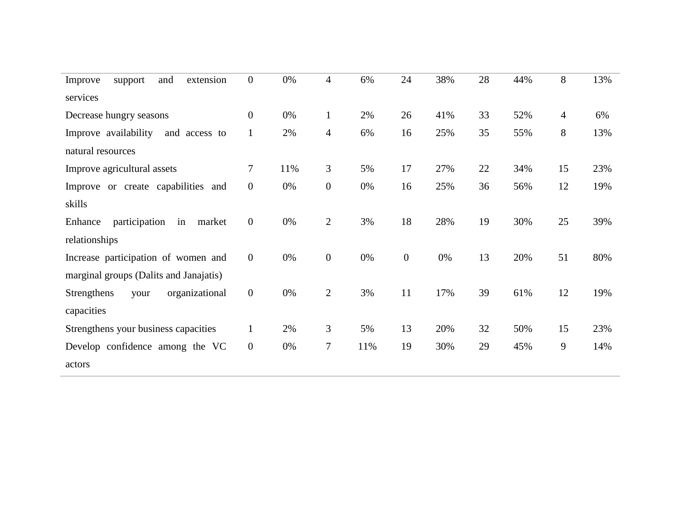| extension<br>and<br>Improve<br>support   | $\overline{0}$   | 0%  | $\overline{4}$ | 6%  | 24               | 38% | 28 | 44% | 8              | 13% |
|------------------------------------------|------------------|-----|----------------|-----|------------------|-----|----|-----|----------------|-----|
| services                                 |                  |     |                |     |                  |     |    |     |                |     |
| Decrease hungry seasons                  | $\overline{0}$   | 0%  | $\mathbf{1}$   | 2%  | 26               | 41% | 33 | 52% | $\overline{4}$ | 6%  |
| Improve availability<br>and access to    | $\mathbf{1}$     | 2%  | $\overline{4}$ | 6%  | 16               | 25% | 35 | 55% | 8              | 13% |
| natural resources                        |                  |     |                |     |                  |     |    |     |                |     |
| Improve agricultural assets              | $\overline{7}$   | 11% | 3              | 5%  | 17               | 27% | 22 | 34% | 15             | 23% |
| Improve or create capabilities and       | $\overline{0}$   | 0%  | $\mathbf{0}$   | 0%  | 16               | 25% | 36 | 56% | 12             | 19% |
| skills                                   |                  |     |                |     |                  |     |    |     |                |     |
| participation<br>in<br>market<br>Enhance | $\boldsymbol{0}$ | 0%  | $\overline{2}$ | 3%  | 18               | 28% | 19 | 30% | 25             | 39% |
| relationships                            |                  |     |                |     |                  |     |    |     |                |     |
| Increase participation of women and      | $\overline{0}$   | 0%  | $\overline{0}$ | 0%  | $\boldsymbol{0}$ | 0%  | 13 | 20% | 51             | 80% |
| marginal groups (Dalits and Janajatis)   |                  |     |                |     |                  |     |    |     |                |     |
| Strengthens<br>organizational<br>your    | $\overline{0}$   | 0%  | $\mathfrak{2}$ | 3%  | 11               | 17% | 39 | 61% | 12             | 19% |
| capacities                               |                  |     |                |     |                  |     |    |     |                |     |
| Strengthens your business capacities     | $\mathbf{1}$     | 2%  | 3              | 5%  | 13               | 20% | 32 | 50% | 15             | 23% |
| Develop confidence among the VC          | $\overline{0}$   | 0%  | $\tau$         | 11% | 19               | 30% | 29 | 45% | 9              | 14% |
| actors                                   |                  |     |                |     |                  |     |    |     |                |     |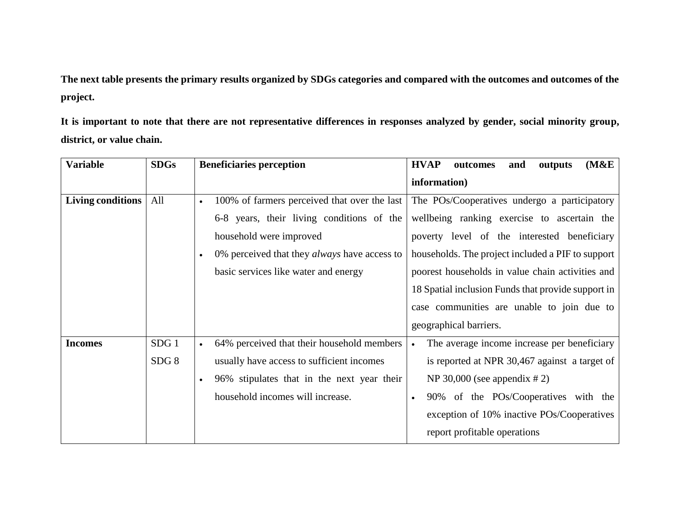**The next table presents the primary results organized by SDGs categories and compared with the outcomes and outcomes of the project.**

**It is important to note that there are not representative differences in responses analyzed by gender, social minority group, district, or value chain.**

| <b>Variable</b>          | <b>SDGs</b>              | <b>Beneficiaries perception</b>                                                                                                                                                                                                               | <b>HVAP</b><br>(M&E)<br>outcomes<br>and<br>outputs                                                                                                                                                                                                                                                                                                                                |
|--------------------------|--------------------------|-----------------------------------------------------------------------------------------------------------------------------------------------------------------------------------------------------------------------------------------------|-----------------------------------------------------------------------------------------------------------------------------------------------------------------------------------------------------------------------------------------------------------------------------------------------------------------------------------------------------------------------------------|
|                          |                          |                                                                                                                                                                                                                                               | information)                                                                                                                                                                                                                                                                                                                                                                      |
| <b>Living conditions</b> | All                      | 100% of farmers perceived that over the last<br>$\bullet$<br>6-8 years, their living conditions of the<br>household were improved<br>0% perceived that they <i>always</i> have access to<br>$\bullet$<br>basic services like water and energy | The POs/Cooperatives undergo a participatory<br>wellbeing ranking exercise to ascertain the<br>poverty level of the interested beneficiary<br>households. The project included a PIF to support<br>poorest households in value chain activities and<br>18 Spatial inclusion Funds that provide support in<br>case communities are unable to join due to<br>geographical barriers. |
| <b>Incomes</b>           | SDG <sub>1</sub><br>SDG8 | 64% perceived that their household members<br>$\bullet$<br>usually have access to sufficient incomes<br>96% stipulates that in the next year their<br>$\bullet$<br>household incomes will increase.                                           | The average income increase per beneficiary<br>$\bullet$<br>is reported at NPR 30,467 against a target of<br>NP 30,000 (see appendix $# 2$ )<br>90% of the POs/Cooperatives with the<br>exception of 10% inactive POs/Cooperatives<br>report profitable operations                                                                                                                |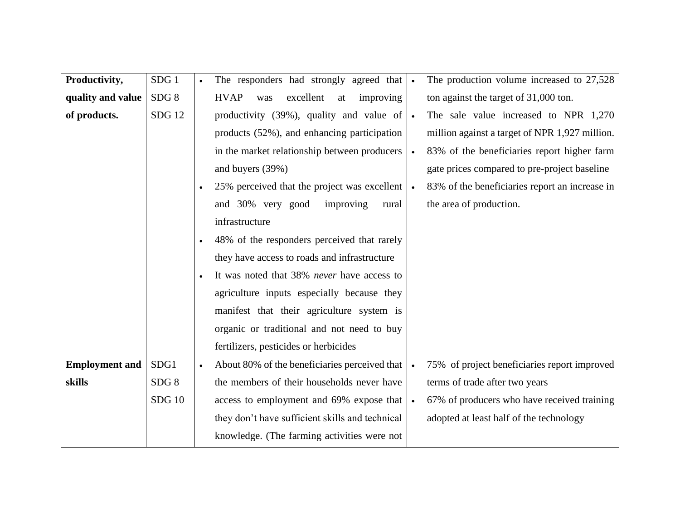| Productivity,         | SDG <sub>1</sub> |           | The responders had strongly agreed that            | $\bullet$ | The production volume increased to 27,528      |
|-----------------------|------------------|-----------|----------------------------------------------------|-----------|------------------------------------------------|
| quality and value     | SDG <sub>8</sub> |           | excellent<br><b>HVAP</b><br>improving<br>was<br>at |           | ton against the target of 31,000 ton.          |
| of products.          | <b>SDG</b> 12    |           | productivity (39%), quality and value of $\cdot$   |           | The sale value increased to NPR 1,270          |
|                       |                  |           | products (52%), and enhancing participation        |           | million against a target of NPR 1,927 million. |
|                       |                  |           | in the market relationship between producers       | $\bullet$ | 83% of the beneficiaries report higher farm    |
|                       |                  |           | and buyers (39%)                                   |           | gate prices compared to pre-project baseline   |
|                       |                  |           | 25% perceived that the project was excellent       | $\bullet$ | 83% of the beneficiaries report an increase in |
|                       |                  |           | improving<br>and 30% very good<br>rural            |           | the area of production.                        |
|                       |                  |           | infrastructure                                     |           |                                                |
|                       |                  |           | 48% of the responders perceived that rarely        |           |                                                |
|                       |                  |           | they have access to roads and infrastructure       |           |                                                |
|                       |                  |           | It was noted that 38% never have access to         |           |                                                |
|                       |                  |           | agriculture inputs especially because they         |           |                                                |
|                       |                  |           | manifest that their agriculture system is          |           |                                                |
|                       |                  |           | organic or traditional and not need to buy         |           |                                                |
|                       |                  |           | fertilizers, pesticides or herbicides              |           |                                                |
| <b>Employment and</b> | SDG1             | $\bullet$ | About 80% of the beneficiaries perceived that      | $\bullet$ | 75% of project beneficiaries report improved   |
| skills                | SDG8             |           | the members of their households never have         |           | terms of trade after two years                 |
|                       | <b>SDG 10</b>    |           | access to employment and 69% expose that           | $\bullet$ | 67% of producers who have received training    |
|                       |                  |           | they don't have sufficient skills and technical    |           | adopted at least half of the technology        |
|                       |                  |           | knowledge. (The farming activities were not        |           |                                                |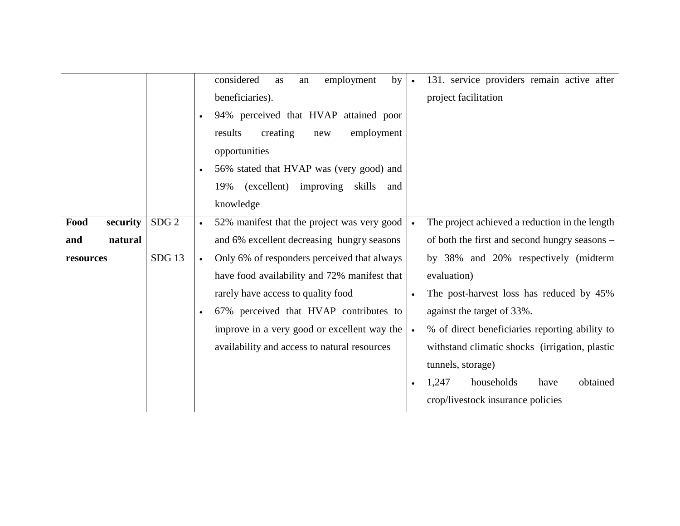|                  |                  | considered<br>131. service providers remain active after<br>employment<br>by<br>as<br>an<br>$\bullet$      |
|------------------|------------------|------------------------------------------------------------------------------------------------------------|
|                  |                  | beneficiaries).<br>project facilitation                                                                    |
|                  |                  | 94% perceived that HVAP attained poor<br>$\bullet$                                                         |
|                  |                  | results<br>creating<br>employment<br>new                                                                   |
|                  |                  | opportunities                                                                                              |
|                  |                  | 56% stated that HVAP was (very good) and<br>$\bullet$                                                      |
|                  |                  | (excellent)<br>19%<br>improving skills<br>and                                                              |
|                  |                  | knowledge                                                                                                  |
|                  |                  |                                                                                                            |
| Food<br>security | SDG <sub>2</sub> | 52% manifest that the project was very good<br>The project achieved a reduction in the length<br>$\bullet$ |
| natural<br>and   |                  | and 6% excellent decreasing hungry seasons<br>of both the first and second hungry seasons –                |
| resources        | <b>SDG13</b>     | Only 6% of responders perceived that always<br>by 38% and 20% respectively (midterm<br>$\bullet$           |
|                  |                  | have food availability and 72% manifest that<br>evaluation)                                                |
|                  |                  | rarely have access to quality food<br>The post-harvest loss has reduced by 45%                             |
|                  |                  | 67% perceived that HVAP contributes to<br>against the target of 33%.<br>$\bullet$                          |
|                  |                  | improve in a very good or excellent way the<br>% of direct beneficiaries reporting ability to<br>$\bullet$ |
|                  |                  | availability and access to natural resources<br>withstand climatic shocks (irrigation, plastic             |
|                  |                  | tunnels, storage)                                                                                          |
|                  |                  | households<br>1,247<br>obtained<br>have                                                                    |
|                  |                  | crop/livestock insurance policies                                                                          |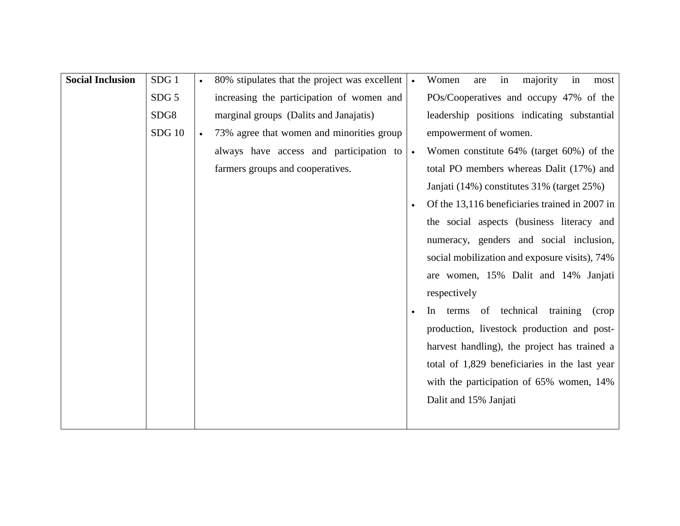| <b>Social Inclusion</b> | SDG <sub>1</sub> |           | 80% stipulates that the project was excellent | majority<br>Women<br>in<br>in<br>most<br>are     |
|-------------------------|------------------|-----------|-----------------------------------------------|--------------------------------------------------|
|                         | SDG <sub>5</sub> |           | increasing the participation of women and     | POs/Cooperatives and occupy 47% of the           |
|                         | SDG8             |           | marginal groups (Dalits and Janajatis)        | leadership positions indicating substantial      |
|                         | <b>SDG</b> 10    | $\bullet$ | 73% agree that women and minorities group     | empowerment of women.                            |
|                         |                  |           | always have access and participation to       | Women constitute 64% (target 60%) of the         |
|                         |                  |           | farmers groups and cooperatives.              | total PO members whereas Dalit (17%) and         |
|                         |                  |           |                                               | Janjati (14%) constitutes 31% (target 25%)       |
|                         |                  |           |                                               | Of the 13,116 beneficiaries trained in 2007 in   |
|                         |                  |           |                                               | the social aspects (business literacy and        |
|                         |                  |           |                                               | numeracy, genders and social inclusion,          |
|                         |                  |           |                                               | social mobilization and exposure visits), 74%    |
|                         |                  |           |                                               | are women, 15% Dalit and 14% Janjati             |
|                         |                  |           |                                               | respectively                                     |
|                         |                  |           |                                               | terms of technical<br>training<br>$\ln$<br>(crop |
|                         |                  |           |                                               | production, livestock production and post-       |
|                         |                  |           |                                               | harvest handling), the project has trained a     |
|                         |                  |           |                                               | total of 1,829 beneficiaries in the last year    |
|                         |                  |           |                                               | with the participation of 65% women, 14%         |
|                         |                  |           |                                               | Dalit and 15% Janjati                            |
|                         |                  |           |                                               |                                                  |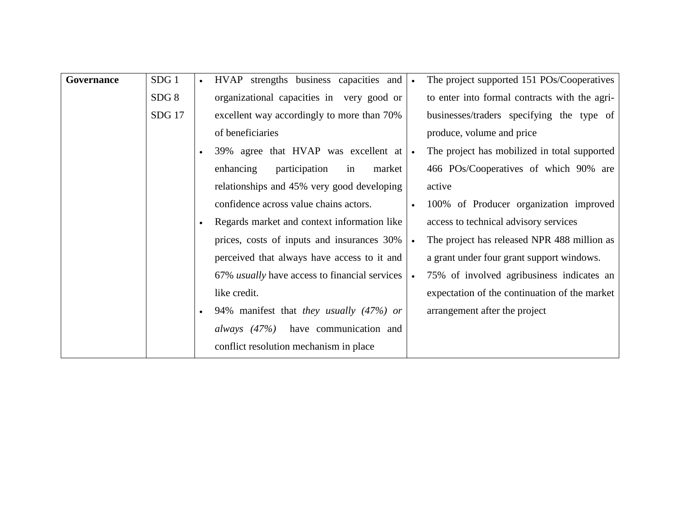| Governance | SDG <sub>1</sub> | $\bullet$ | HVAP strengths business capacities and               |           | The project supported 151 POs/Cooperatives    |
|------------|------------------|-----------|------------------------------------------------------|-----------|-----------------------------------------------|
|            | SDG 8            |           | organizational capacities in very good or            |           | to enter into formal contracts with the agri- |
|            | <b>SDG</b> 17    |           | excellent way accordingly to more than 70%           |           | businesses/traders specifying the type of     |
|            |                  |           | of beneficiaries                                     |           | produce, volume and price                     |
|            |                  | $\bullet$ | 39% agree that HVAP was excellent at                 | $\bullet$ | The project has mobilized in total supported  |
|            |                  |           | participation<br>enhancing<br>in<br>market           |           | 466 POs/Cooperatives of which 90% are         |
|            |                  |           | relationships and 45% very good developing           |           | active                                        |
|            |                  |           | confidence across value chains actors.               |           | 100% of Producer organization improved        |
|            |                  | $\bullet$ | Regards market and context information like          |           | access to technical advisory services         |
|            |                  |           | prices, costs of inputs and insurances 30%           |           | The project has released NPR 488 million as   |
|            |                  |           | perceived that always have access to it and          |           | a grant under four grant support windows.     |
|            |                  |           | 67% <i>usually</i> have access to financial services |           | 75% of involved agribusiness indicates an     |
|            |                  |           | like credit.                                         |           | expectation of the continuation of the market |
|            |                  | $\bullet$ | 94% manifest that they usually (47%) or              |           | arrangement after the project                 |
|            |                  |           | <i>always</i> (47%) have communication and           |           |                                               |
|            |                  |           | conflict resolution mechanism in place               |           |                                               |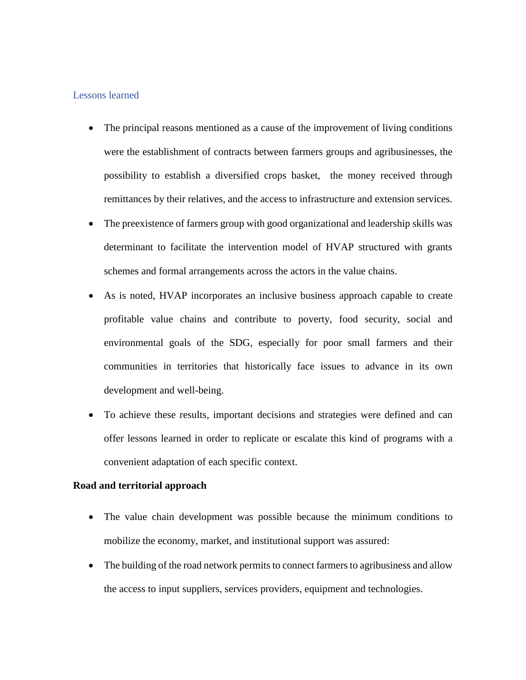#### <span id="page-26-0"></span>Lessons learned

- The principal reasons mentioned as a cause of the improvement of living conditions were the establishment of contracts between farmers groups and agribusinesses, the possibility to establish a diversified crops basket, the money received through remittances by their relatives, and the access to infrastructure and extension services.
- The preexistence of farmers group with good organizational and leadership skills was determinant to facilitate the intervention model of HVAP structured with grants schemes and formal arrangements across the actors in the value chains.
- As is noted, HVAP incorporates an inclusive business approach capable to create profitable value chains and contribute to poverty, food security, social and environmental goals of the SDG, especially for poor small farmers and their communities in territories that historically face issues to advance in its own development and well-being.
- To achieve these results, important decisions and strategies were defined and can offer lessons learned in order to replicate or escalate this kind of programs with a convenient adaptation of each specific context.

#### **Road and territorial approach**

- The value chain development was possible because the minimum conditions to mobilize the economy, market, and institutional support was assured:
- The building of the road network permits to connect farmers to agribusiness and allow the access to input suppliers, services providers, equipment and technologies.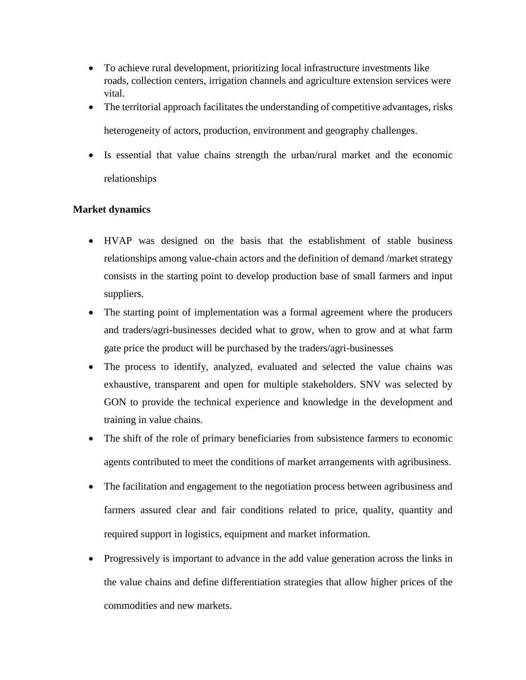- To achieve rural development, prioritizing local infrastructure investments like roads, collection centers, irrigation channels and agriculture extension services were vital.
- The territorial approach facilitates the understanding of competitive advantages, risks heterogeneity of actors, production, environment and geography challenges.
- Is essential that value chains strength the urban/rural market and the economic relationships

#### **Market dynamics**

- HVAP was designed on the basis that the establishment of stable business relationships among value-chain actors and the definition of demand /market strategy consists in the starting point to develop production base of small farmers and input suppliers.
- The starting point of implementation was a formal agreement where the producers and traders/agri-businesses decided what to grow, when to grow and at what farm gate price the product will be purchased by the traders/agri-businesses
- The process to identify, analyzed, evaluated and selected the value chains was exhaustive, transparent and open for multiple stakeholders. SNV was selected by GON to provide the technical experience and knowledge in the development and training in value chains.
- The shift of the role of primary beneficiaries from subsistence farmers to economic agents contributed to meet the conditions of market arrangements with agribusiness.
- The facilitation and engagement to the negotiation process between agribusiness and farmers assured clear and fair conditions related to price, quality, quantity and required support in logistics, equipment and market information.
- Progressively is important to advance in the add value generation across the links in the value chains and define differentiation strategies that allow higher prices of the commodities and new markets.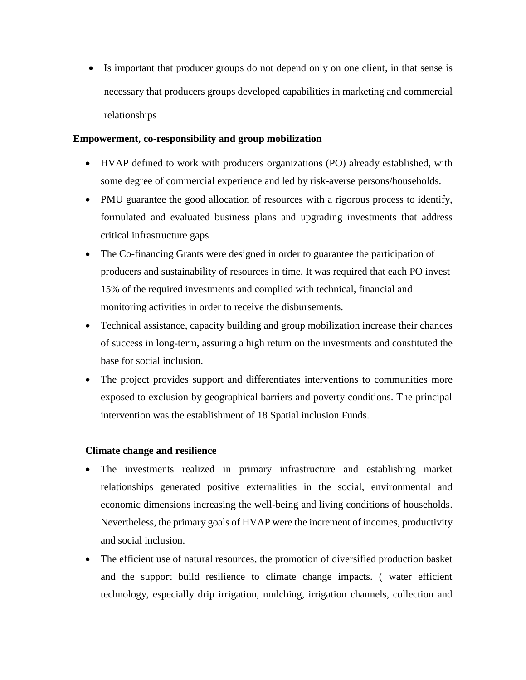• Is important that producer groups do not depend only on one client, in that sense is necessary that producers groups developed capabilities in marketing and commercial relationships

#### **Empowerment, co-responsibility and group mobilization**

- HVAP defined to work with producers organizations (PO) already established, with some degree of commercial experience and led by risk-averse persons/households.
- PMU guarantee the good allocation of resources with a rigorous process to identify, formulated and evaluated business plans and upgrading investments that address critical infrastructure gaps
- The Co-financing Grants were designed in order to guarantee the participation of producers and sustainability of resources in time. It was required that each PO invest 15% of the required investments and complied with technical, financial and monitoring activities in order to receive the disbursements.
- Technical assistance, capacity building and group mobilization increase their chances of success in long-term, assuring a high return on the investments and constituted the base for social inclusion.
- The project provides support and differentiates interventions to communities more exposed to exclusion by geographical barriers and poverty conditions. The principal intervention was the establishment of 18 Spatial inclusion Funds.

#### **Climate change and resilience**

- The investments realized in primary infrastructure and establishing market relationships generated positive externalities in the social, environmental and economic dimensions increasing the well-being and living conditions of households. Nevertheless, the primary goals of HVAP were the increment of incomes, productivity and social inclusion.
- The efficient use of natural resources, the promotion of diversified production basket and the support build resilience to climate change impacts. ( water efficient technology, especially drip irrigation, mulching, irrigation channels, collection and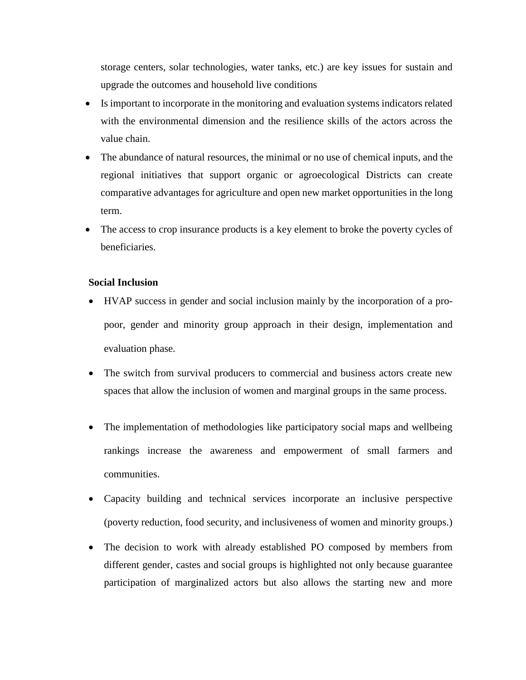storage centers, solar technologies, water tanks, etc.) are key issues for sustain and upgrade the outcomes and household live conditions

- Is important to incorporate in the monitoring and evaluation systems indicators related with the environmental dimension and the resilience skills of the actors across the value chain.
- The abundance of natural resources, the minimal or no use of chemical inputs, and the regional initiatives that support organic or agroecological Districts can create comparative advantages for agriculture and open new market opportunities in the long term.
- The access to crop insurance products is a key element to broke the poverty cycles of beneficiaries.

#### **Social Inclusion**

- HVAP success in gender and social inclusion mainly by the incorporation of a propoor, gender and minority group approach in their design, implementation and evaluation phase.
- The switch from survival producers to commercial and business actors create new spaces that allow the inclusion of women and marginal groups in the same process.
- The implementation of methodologies like participatory social maps and wellbeing rankings increase the awareness and empowerment of small farmers and communities.
- Capacity building and technical services incorporate an inclusive perspective (poverty reduction, food security, and inclusiveness of women and minority groups.)
- The decision to work with already established PO composed by members from different gender, castes and social groups is highlighted not only because guarantee participation of marginalized actors but also allows the starting new and more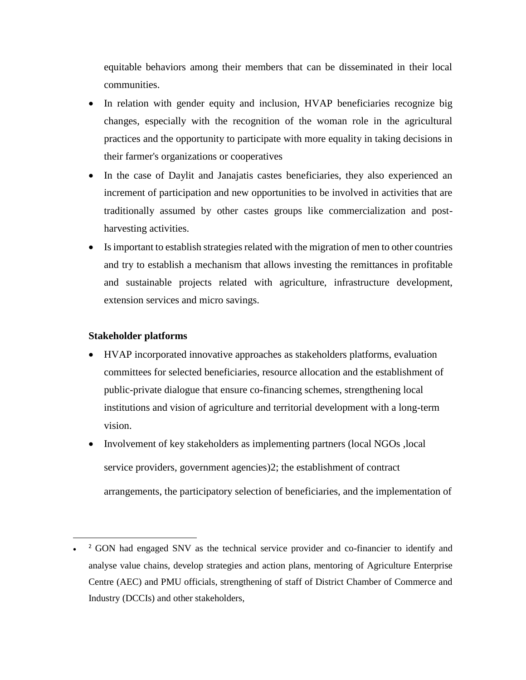equitable behaviors among their members that can be disseminated in their local communities.

- In relation with gender equity and inclusion, HVAP beneficiaries recognize big changes, especially with the recognition of the woman role in the agricultural practices and the opportunity to participate with more equality in taking decisions in their farmer's organizations or cooperatives
- In the case of Daylit and Janajatis castes beneficiaries, they also experienced an increment of participation and new opportunities to be involved in activities that are traditionally assumed by other castes groups like commercialization and postharvesting activities.
- Is important to establish strategies related with the migration of men to other countries and try to establish a mechanism that allows investing the remittances in profitable and sustainable projects related with agriculture, infrastructure development, extension services and micro savings.

#### **Stakeholder platforms**

 $\overline{a}$ 

- HVAP incorporated innovative approaches as stakeholders platforms, evaluation committees for selected beneficiaries, resource allocation and the establishment of public-private dialogue that ensure co-financing schemes, strengthening local institutions and vision of agriculture and territorial development with a long-term vision.
- Involvement of key stakeholders as implementing partners (local NGOs ,local service providers, government agencies)2; the establishment of contract arrangements, the participatory selection of beneficiaries, and the implementation of

<sup>•</sup> <sup>2</sup> GON had engaged SNV as the technical service provider and co-financier to identify and analyse value chains, develop strategies and action plans, mentoring of Agriculture Enterprise Centre (AEC) and PMU officials, strengthening of staff of District Chamber of Commerce and Industry (DCCIs) and other stakeholders,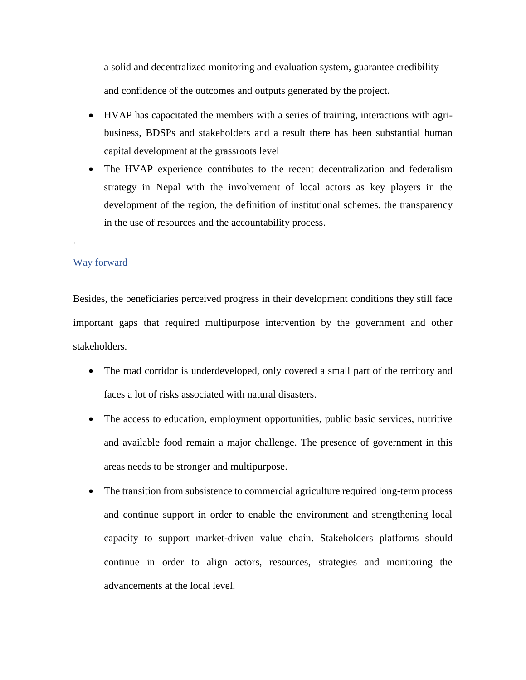a solid and decentralized monitoring and evaluation system, guarantee credibility and confidence of the outcomes and outputs generated by the project.

- HVAP has capacitated the members with a series of training, interactions with agribusiness, BDSPs and stakeholders and a result there has been substantial human capital development at the grassroots level
- The HVAP experience contributes to the recent decentralization and federalism strategy in Nepal with the involvement of local actors as key players in the development of the region, the definition of institutional schemes, the transparency in the use of resources and the accountability process.

#### Way forward

<span id="page-31-0"></span>.

Besides, the beneficiaries perceived progress in their development conditions they still face important gaps that required multipurpose intervention by the government and other stakeholders.

- The road corridor is underdeveloped, only covered a small part of the territory and faces a lot of risks associated with natural disasters.
- The access to education, employment opportunities, public basic services, nutritive and available food remain a major challenge. The presence of government in this areas needs to be stronger and multipurpose.
- The transition from subsistence to commercial agriculture required long-term process and continue support in order to enable the environment and strengthening local capacity to support market-driven value chain. Stakeholders platforms should continue in order to align actors, resources, strategies and monitoring the advancements at the local level.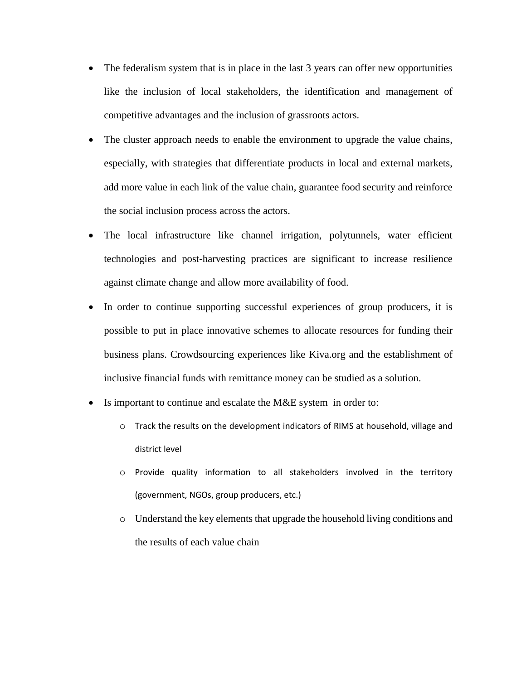- The federalism system that is in place in the last 3 years can offer new opportunities like the inclusion of local stakeholders, the identification and management of competitive advantages and the inclusion of grassroots actors.
- The cluster approach needs to enable the environment to upgrade the value chains, especially, with strategies that differentiate products in local and external markets, add more value in each link of the value chain, guarantee food security and reinforce the social inclusion process across the actors.
- The local infrastructure like channel irrigation, polytunnels, water efficient technologies and post-harvesting practices are significant to increase resilience against climate change and allow more availability of food.
- In order to continue supporting successful experiences of group producers, it is possible to put in place innovative schemes to allocate resources for funding their business plans. Crowdsourcing experiences like Kiva.org and the establishment of inclusive financial funds with remittance money can be studied as a solution.
- Is important to continue and escalate the M&E system in order to:
	- o Track the results on the development indicators of RIMS at household, village and district level
	- o Provide quality information to all stakeholders involved in the territory (government, NGOs, group producers, etc.)
	- o Understand the key elements that upgrade the household living conditions and the results of each value chain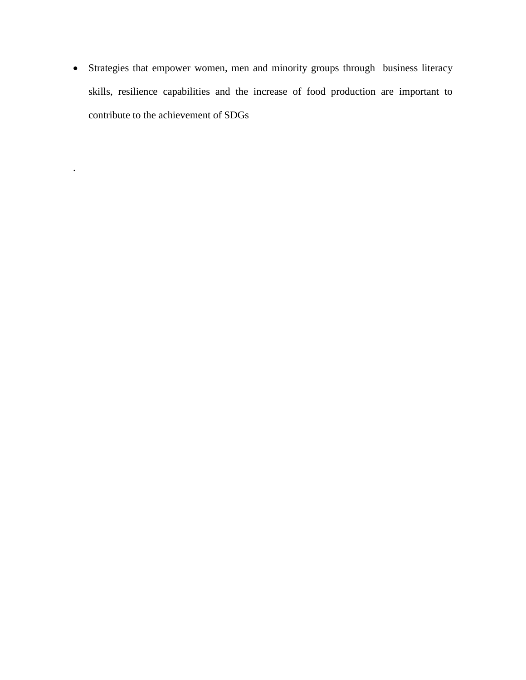• Strategies that empower women, men and minority groups through business literacy skills, resilience capabilities and the increase of food production are important to contribute to the achievement of SDGs

.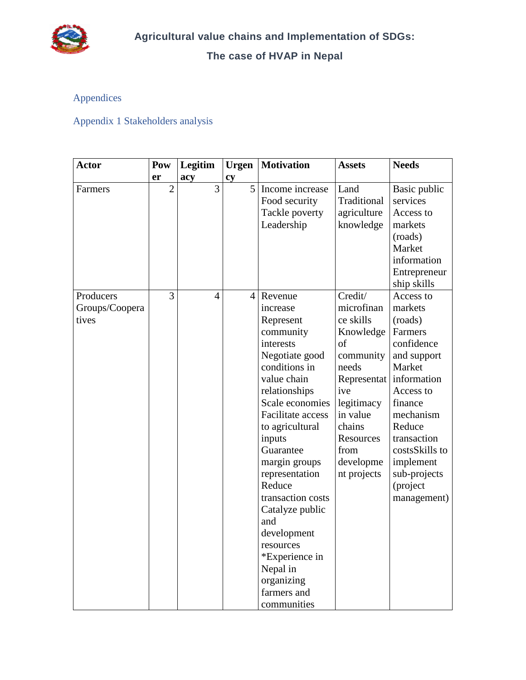

#### **The case of HVAP in Nepal**

#### <span id="page-34-0"></span>Appendices

### <span id="page-34-1"></span>Appendix 1 Stakeholders analysis

| <b>Actor</b>                         | Pow            | Legitim        | <b>Urgen</b>   | <b>Motivation</b>                                                                                                                                                                                                                                                                                                                                                                                                 | <b>Assets</b>                                                                                                                                                                          | <b>Needs</b>                                                                                                                                                                                                                             |
|--------------------------------------|----------------|----------------|----------------|-------------------------------------------------------------------------------------------------------------------------------------------------------------------------------------------------------------------------------------------------------------------------------------------------------------------------------------------------------------------------------------------------------------------|----------------------------------------------------------------------------------------------------------------------------------------------------------------------------------------|------------------------------------------------------------------------------------------------------------------------------------------------------------------------------------------------------------------------------------------|
|                                      | er             | acy            | cy             |                                                                                                                                                                                                                                                                                                                                                                                                                   |                                                                                                                                                                                        |                                                                                                                                                                                                                                          |
| Farmers                              | $\overline{2}$ | 3              | 5              | Income increase<br>Food security<br>Tackle poverty<br>Leadership                                                                                                                                                                                                                                                                                                                                                  | Land<br>Traditional<br>agriculture<br>knowledge                                                                                                                                        | Basic public<br>services<br>Access to<br>markets<br>(roads)<br>Market<br>information<br>Entrepreneur<br>ship skills                                                                                                                      |
| Producers<br>Groups/Coopera<br>tives | 3              | $\overline{4}$ | $\overline{4}$ | Revenue<br>increase<br>Represent<br>community<br>interests<br>Negotiate good<br>conditions in<br>value chain<br>relationships<br>Scale economies<br>Facilitate access<br>to agricultural<br>inputs<br>Guarantee<br>margin groups<br>representation<br>Reduce<br>transaction costs<br>Catalyze public<br>and<br>development<br>resources<br>*Experience in<br>Nepal in<br>organizing<br>farmers and<br>communities | Credit/<br>microfinan<br>ce skills<br>Knowledge<br>of<br>community<br>needs<br>Representat<br>ive<br>legitimacy<br>in value<br>chains<br>Resources<br>from<br>developme<br>nt projects | Access to<br>markets<br>(roads)<br>Farmers<br>confidence<br>and support<br>Market<br>information<br>Access to<br>finance<br>mechanism<br>Reduce<br>transaction<br>costsSkills to<br>implement<br>sub-projects<br>(project<br>management) |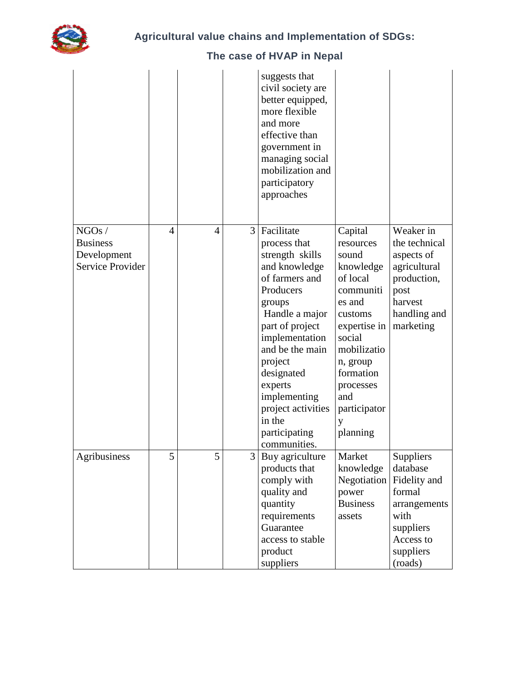

|                                                                    |   |   |                | suggests that<br>civil society are<br>better equipped,<br>more flexible<br>and more<br>effective than<br>government in<br>managing social<br>mobilization and<br>participatory<br>approaches                                                                                                           |                                                                                                                                                                                                                 |                                                                                                                           |
|--------------------------------------------------------------------|---|---|----------------|--------------------------------------------------------------------------------------------------------------------------------------------------------------------------------------------------------------------------------------------------------------------------------------------------------|-----------------------------------------------------------------------------------------------------------------------------------------------------------------------------------------------------------------|---------------------------------------------------------------------------------------------------------------------------|
| $\rm NGOs$ /<br><b>Business</b><br>Development<br>Service Provider | 4 | 4 | $\overline{3}$ | Facilitate<br>process that<br>strength skills<br>and knowledge<br>of farmers and<br>Producers<br>groups<br>Handle a major<br>part of project<br>implementation<br>and be the main<br>project<br>designated<br>experts<br>implementing<br>project activities<br>in the<br>participating<br>communities. | Capital<br>resources<br>sound<br>knowledge<br>of local<br>communiti<br>es and<br>customs<br>expertise in<br>social<br>mobilizatio<br>n, group<br>formation<br>processes<br>and<br>participator<br>у<br>planning | Weaker in<br>the technical<br>aspects of<br>agricultural<br>production,<br>post<br>harvest<br>handling and<br>marketing   |
| Agribusiness                                                       | 5 | 5 | $\frac{3}{ }$  | Buy agriculture<br>products that<br>comply with<br>quality and<br>quantity<br>requirements<br>Guarantee<br>access to stable<br>product<br>suppliers                                                                                                                                                    | Market<br>knowledge<br>Negotiation<br>power<br><b>Business</b><br>assets                                                                                                                                        | Suppliers<br>database<br>Fidelity and<br>formal<br>arrangements<br>with<br>suppliers<br>Access to<br>suppliers<br>(roads) |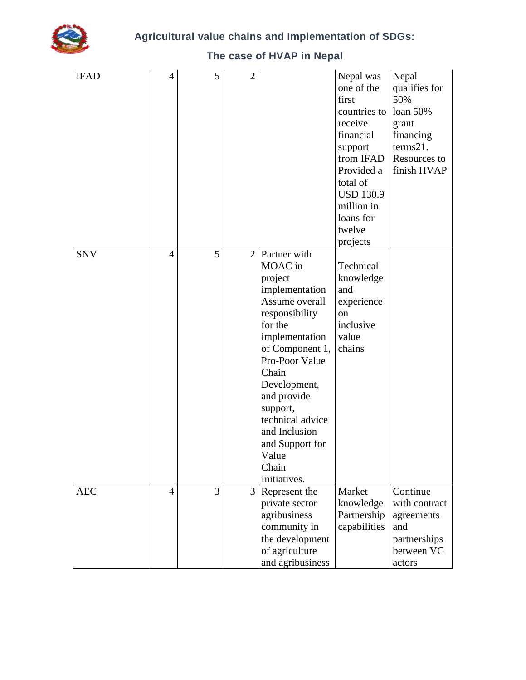

#### **Agricultural value chains and Implementation of SDGs:**

#### IFAD  $|4|$  5 2 Nepal was one of the first countries to loan 50% receive financial support from IFAD Provided a total of USD 130.9 million in loans for twelve projects Nepal qualifies for 50% grant financing terms21. Resources to finish HVAP SNV  $\begin{vmatrix} 4 & 5 & 2 \end{vmatrix}$  Partner with MOAC in project implementation Assume overall responsibility for the implementation of Component 1, Pro-Poor Value Chain Development, and provide support, technical advice and Inclusion and Support for Value Chain Initiatives. Technical knowledge and experience on inclusive value chains AEC  $|4|$  3 3 Represent the private sector agribusiness community in the development of agriculture and agribusiness Market knowledge Partnership capabilities Continue with contract agreements and partnerships between VC actors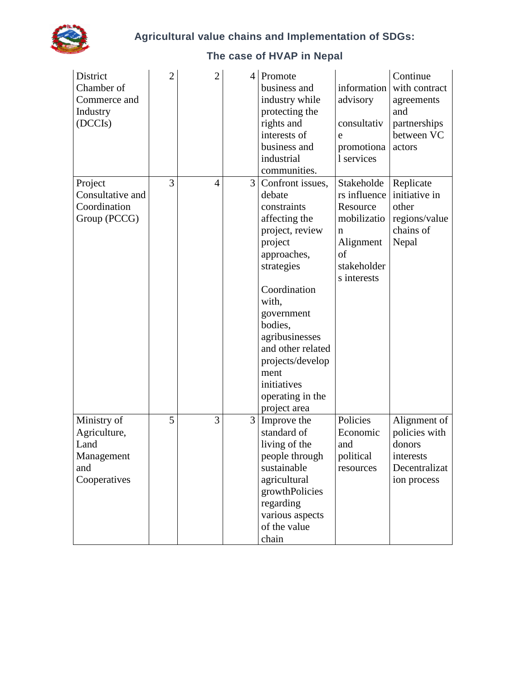

#### **District** Chamber of Commerce and Industry (DCCIs)  $2 \mid 2 \mid 4 \mid$ Promote business and industry while protecting the rights and interests of business and industrial communities. information advisory consultativ e promotiona l services Continue with contract agreements and partnerships between VC actors Project Consultative and **Coordination** Group (PCCG)  $3 \mid 4 \mid 3 \mid$  Confront issues, debate constraints affecting the project, review project approaches, strategies Coordination with, government bodies, agribusinesses and other related projects/develop ment initiatives operating in the project area Stakeholde rs influence initiative in Resource mobilizatio n Alignment of stakeholder s interests Replicate other regions/value chains of Nepal Ministry of Agriculture, Land Management and Cooperatives  $\begin{array}{c|c} 5 & 3 & 3 \end{array}$  Improve the standard of living of the people through sustainable agricultural growthPolicies regarding various aspects of the value chain Policies Economic and political resources Alignment of policies with donors interests Decentralizat ion process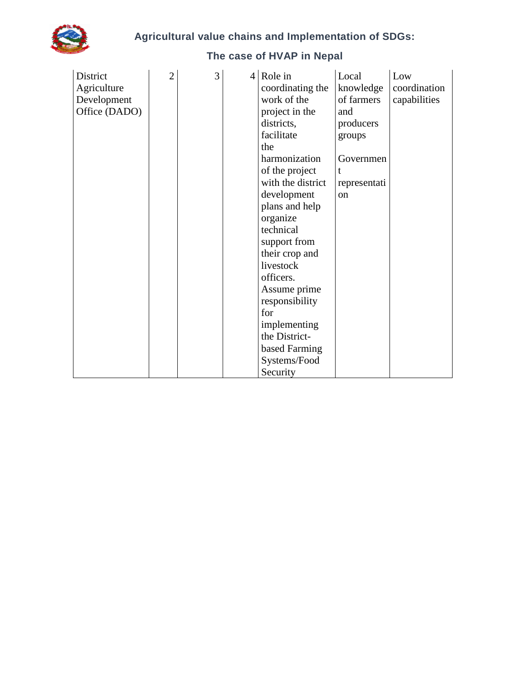

| District<br>Agriculture<br>Development<br>Office (DADO) | $\overline{2}$ | 3 | $4 Role$ in<br>coordinating the<br>work of the<br>project in the<br>districts,<br>facilitate<br>the<br>harmonization<br>of the project<br>with the district<br>development<br>plans and help<br>organize<br>technical<br>support from<br>their crop and<br>livestock<br>officers.<br>Assume prime<br>responsibility<br>for<br>implementing<br>the District- | Local<br>knowledge<br>of farmers<br>and<br>producers<br>groups<br>Governmen<br>t<br>representati<br>on | Low<br>coordination<br>capabilities |
|---------------------------------------------------------|----------------|---|-------------------------------------------------------------------------------------------------------------------------------------------------------------------------------------------------------------------------------------------------------------------------------------------------------------------------------------------------------------|--------------------------------------------------------------------------------------------------------|-------------------------------------|
|                                                         |                |   | based Farming<br>Systems/Food<br>Security                                                                                                                                                                                                                                                                                                                   |                                                                                                        |                                     |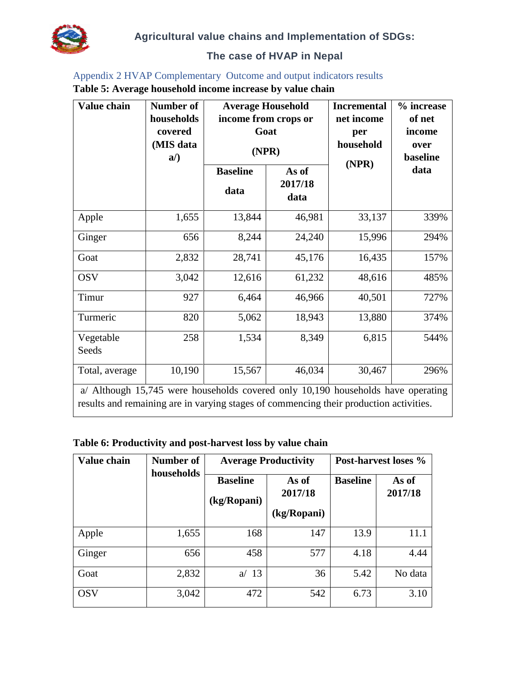#### **The case of HVAP in Nepal**

#### <span id="page-39-0"></span>Appendix 2 HVAP Complementary Outcome and output indicators results **Table 5: Average household income increase by value chain**

| Value chain                                                                                                                                                                | Number of<br>households<br>covered<br>(MIS data<br>$a$ ) | <b>Average Household</b><br>income from crops or<br>Goat<br>(NPR) |                          | <b>Incremental</b><br>net income<br>per<br>household<br>(NPR) | % increase<br>of net<br>income<br>over<br>baseline |
|----------------------------------------------------------------------------------------------------------------------------------------------------------------------------|----------------------------------------------------------|-------------------------------------------------------------------|--------------------------|---------------------------------------------------------------|----------------------------------------------------|
|                                                                                                                                                                            |                                                          | <b>Baseline</b><br>data                                           | As of<br>2017/18<br>data |                                                               | data                                               |
| Apple                                                                                                                                                                      | 1,655                                                    | 13,844                                                            | 46,981                   | 33,137                                                        | 339%                                               |
| Ginger                                                                                                                                                                     | 656                                                      | 8,244                                                             | 24,240                   | 15,996                                                        | 294%                                               |
| Goat                                                                                                                                                                       | 2,832                                                    | 28,741                                                            | 45,176                   | 16,435                                                        | 157%                                               |
| <b>OSV</b>                                                                                                                                                                 | 3,042                                                    | 12,616                                                            | 61,232                   | 48,616                                                        | 485%                                               |
| Timur                                                                                                                                                                      | 927                                                      | 6,464                                                             | 46,966                   | 40,501                                                        | 727%                                               |
| Turmeric                                                                                                                                                                   | 820                                                      | 5,062                                                             | 18,943                   | 13,880                                                        | 374%                                               |
| Vegetable<br>Seeds                                                                                                                                                         | 258                                                      | 1,534                                                             | 8,349                    | 6,815                                                         | 544%                                               |
| Total, average                                                                                                                                                             | 10,190                                                   | 15,567                                                            | 46,034                   | 30,467                                                        | 296%                                               |
| a/ Although 15,745 were households covered only 10,190 households have operating<br>results and remaining are in varying stages of commencing their production activities. |                                                          |                                                                   |                          |                                                               |                                                    |

#### **Table 6: Productivity and post-harvest loss by value chain**

| Value chain | Number of<br>households |                                | <b>Average Productivity</b>     | Post-harvest loses % |                  |  |
|-------------|-------------------------|--------------------------------|---------------------------------|----------------------|------------------|--|
|             |                         | <b>Baseline</b><br>(kg/Ropani) | As of<br>2017/18<br>(kg/Ropani) | <b>Baseline</b>      | As of<br>2017/18 |  |
| Apple       | 1,655                   | 168                            | 147                             | 13.9                 | 11.1             |  |
| Ginger      | 656                     | 458                            | 577                             | 4.18                 | 4.44             |  |
| Goat        | 2,832                   | 13<br>a                        | 36                              | 5.42                 | No data          |  |
| <b>OSV</b>  | 3,042                   | 472                            | 542                             | 6.73                 | 3.10             |  |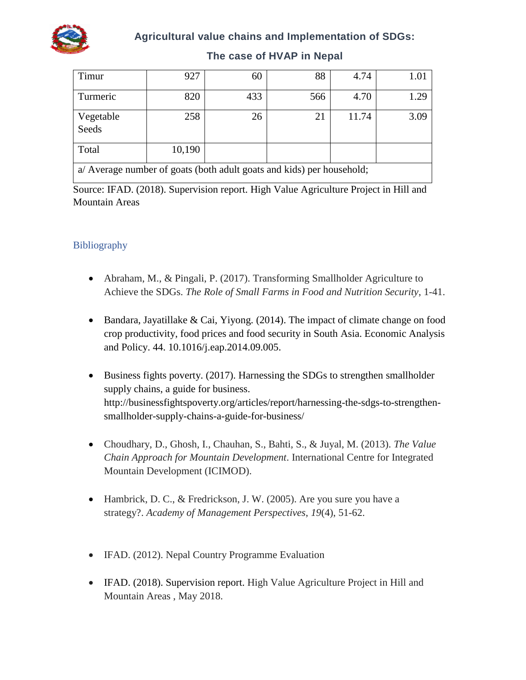

#### **Agricultural value chains and Implementation of SDGs:**

| Timur                                                                 | 927    | 60  | 88  | 4.74  |      |  |  |
|-----------------------------------------------------------------------|--------|-----|-----|-------|------|--|--|
| Turmeric                                                              | 820    | 433 | 566 | 4.70  | 1.29 |  |  |
| Vegetable<br>Seeds                                                    | 258    | 26  | 21  | 11.74 | 3.09 |  |  |
| Total                                                                 | 10,190 |     |     |       |      |  |  |
| a/ Average number of goats (both adult goats and kids) per household; |        |     |     |       |      |  |  |

#### **The case of HVAP in Nepal**

Source: IFAD. (2018). Supervision report. High Value Agriculture Project in Hill and Mountain Areas

#### <span id="page-40-0"></span>Bibliography

- Abraham, M., & Pingali, P. (2017). Transforming Smallholder Agriculture to Achieve the SDGs. *The Role of Small Farms in Food and Nutrition Security*, 1-41.
- Bandara, Jayatillake & Cai, Yiyong. (2014). The impact of climate change on food crop productivity, food prices and food security in South Asia. Economic Analysis and Policy. 44. 10.1016/j.eap.2014.09.005.
- Business fights poverty. (2017). Harnessing the SDGs to strengthen smallholder supply chains, a guide for business. http://businessfightspoverty.org/articles/report/harnessing-the-sdgs-to-strengthensmallholder-supply-chains-a-guide-for-business/
- Choudhary, D., Ghosh, I., Chauhan, S., Bahti, S., & Juyal, M. (2013). *The Value Chain Approach for Mountain Development*. International Centre for Integrated Mountain Development (ICIMOD).
- Hambrick, D. C., & Fredrickson, J. W. (2005). Are you sure you have a strategy?. *Academy of Management Perspectives*, *19*(4), 51-62.
- IFAD. (2012). Nepal Country Programme Evaluation
- IFAD. (2018). Supervision report. High Value Agriculture Project in Hill and Mountain Areas , May 2018.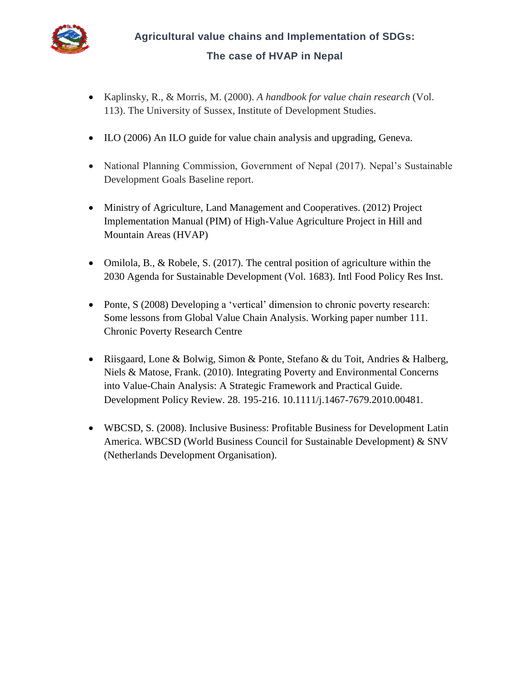

**Agricultural value chains and Implementation of SDGs: The case of HVAP in Nepal**

- Kaplinsky, R., & Morris, M. (2000). *A handbook for value chain research* (Vol. 113). The University of Sussex, Institute of Development Studies.
- ILO (2006) An ILO guide for value chain analysis and upgrading, Geneva.
- National Planning Commission, Government of Nepal (2017). Nepal's Sustainable Development Goals Baseline report.
- Ministry of Agriculture, Land Management and Cooperatives. (2012) Project Implementation Manual (PIM) of High-Value Agriculture Project in Hill and Mountain Areas (HVAP)
- Omilola, B., & Robele, S. (2017). The central position of agriculture within the 2030 Agenda for Sustainable Development (Vol. 1683). Intl Food Policy Res Inst.
- Ponte, S (2008) Developing a 'vertical' dimension to chronic poverty research: Some lessons from Global Value Chain Analysis. Working paper number 111. Chronic Poverty Research Centre
- Riisgaard, Lone & Bolwig, Simon & Ponte, Stefano & du Toit, Andries & Halberg, Niels & Matose, Frank. (2010). Integrating Poverty and Environmental Concerns into Value-Chain Analysis: A Strategic Framework and Practical Guide. Development Policy Review. 28. 195-216. 10.1111/j.1467-7679.2010.00481.
- WBCSD, S. (2008). Inclusive Business: Profitable Business for Development Latin America. WBCSD (World Business Council for Sustainable Development) & SNV (Netherlands Development Organisation).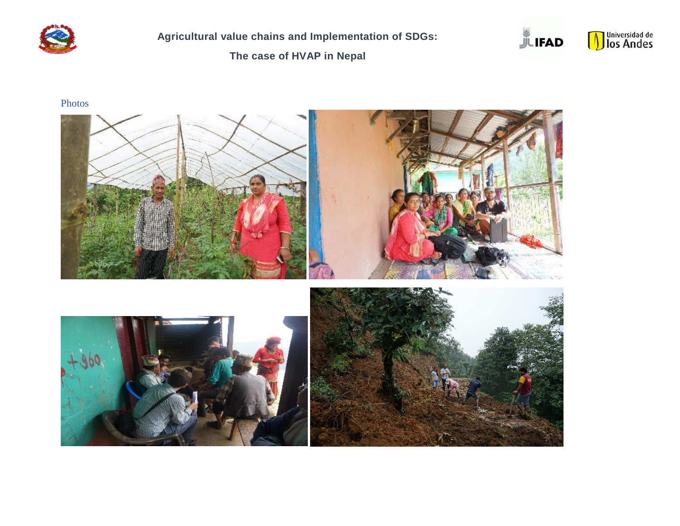

**Agricultural value chains and Implementation of SDGs:** 

**The case of HVAP in Nepal**





Photos

<span id="page-42-0"></span>